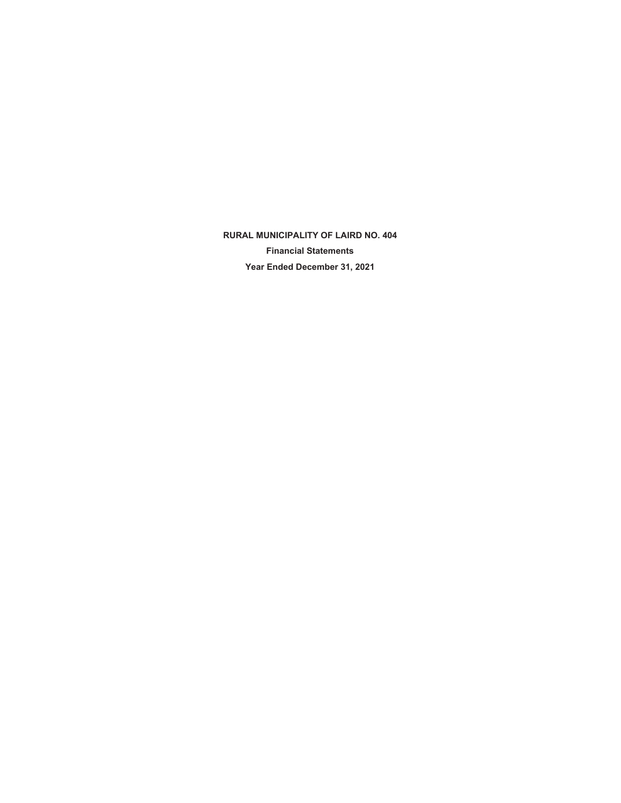**RURAL MUNICIPALITY OF LAIRD NO. 404 Financial Statements Year Ended December 31, 2021**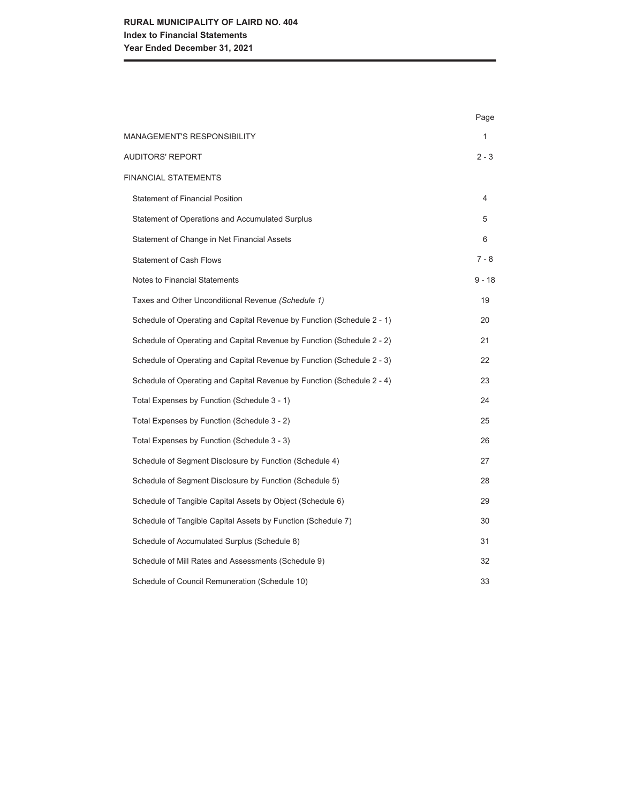|                                                                        | Page     |
|------------------------------------------------------------------------|----------|
| MANAGEMENT'S RESPONSIBILITY                                            | 1        |
| AUDITORS' REPORT                                                       | $2 - 3$  |
| FINANCIAL STATEMENTS                                                   |          |
| <b>Statement of Financial Position</b>                                 | 4        |
| Statement of Operations and Accumulated Surplus                        | 5        |
| Statement of Change in Net Financial Assets                            | 6        |
| <b>Statement of Cash Flows</b>                                         | $7 - 8$  |
| <b>Notes to Financial Statements</b>                                   | $9 - 18$ |
| Taxes and Other Unconditional Revenue (Schedule 1)                     | 19       |
| Schedule of Operating and Capital Revenue by Function (Schedule 2 - 1) | 20       |
| Schedule of Operating and Capital Revenue by Function (Schedule 2 - 2) | 21       |
| Schedule of Operating and Capital Revenue by Function (Schedule 2 - 3) | 22       |
| Schedule of Operating and Capital Revenue by Function (Schedule 2 - 4) | 23       |
| Total Expenses by Function (Schedule 3 - 1)                            | 24       |
| Total Expenses by Function (Schedule 3 - 2)                            | 25       |
| Total Expenses by Function (Schedule 3 - 3)                            | 26       |
| Schedule of Segment Disclosure by Function (Schedule 4)                | 27       |
| Schedule of Segment Disclosure by Function (Schedule 5)                | 28       |
| Schedule of Tangible Capital Assets by Object (Schedule 6)             | 29       |
| Schedule of Tangible Capital Assets by Function (Schedule 7)           | 30       |
| Schedule of Accumulated Surplus (Schedule 8)                           | 31       |
| Schedule of Mill Rates and Assessments (Schedule 9)                    | 32       |
| Schedule of Council Remuneration (Schedule 10)                         | 33       |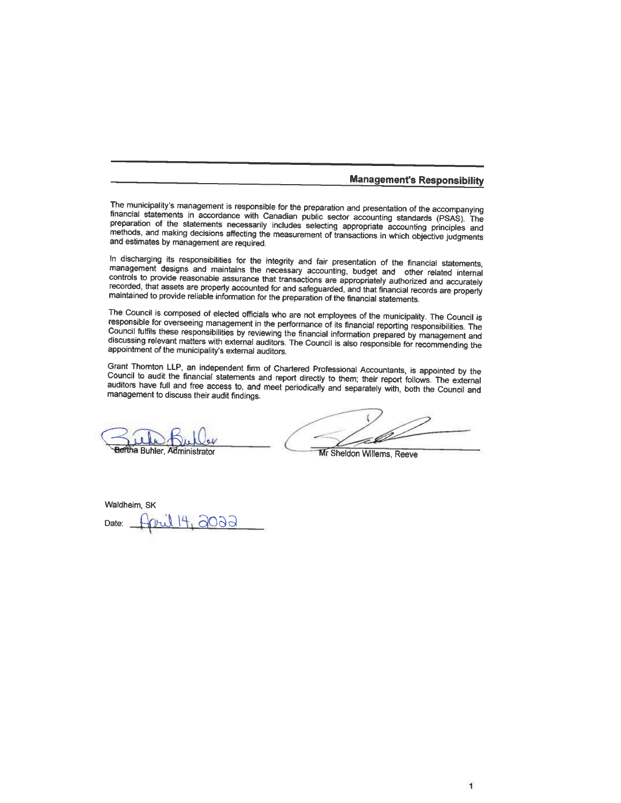# **Management's Responsibility**

The municipality's management is responsible for the preparation and presentation of the accompanying financial statements in accordance with Canadian public sector accounting standards (PSAS). The preparation of the statements necessarily includes selecting appropriate accounting principles and methods, and making decisions affecting the measurement of transactions in which objective judgments and estimates by management are required.

In discharging its responsibilities for the integrity and fair presentation of the financial statements, management designs and maintains the necessary accounting, budget and other related internal controls to provide reasonable assurance that transactions are appropriately authorized and accurately recorded, that assets are properly accounted for and safeguarded, and that financial records are properly maintained to provide reliable information for the preparation of the financial statements.

The Council is composed of elected officials who are not employees of the municipality. The Council is responsible for overseeing management in the performance of its financial reporting responsibilities. The Council fulfils these responsibilities by reviewing the financial information prepared by management and discussing relevant matters with external auditors. The Council is also responsible for recommending the appointment of the municipality's external auditors.

Grant Thornton LLP, an independent firm of Chartered Professional Accountants, is appointed by the Council to audit the financial statements and report directly to them; their report follows. The external auditors have full and free access to, and meet periodically and separately with, both the Council and management to discuss their audit findings.

Bertha Buhler, Administrator

Mr Sheldon Willems, Reeve

Waldheim, SK  $|4$ -9099 Date: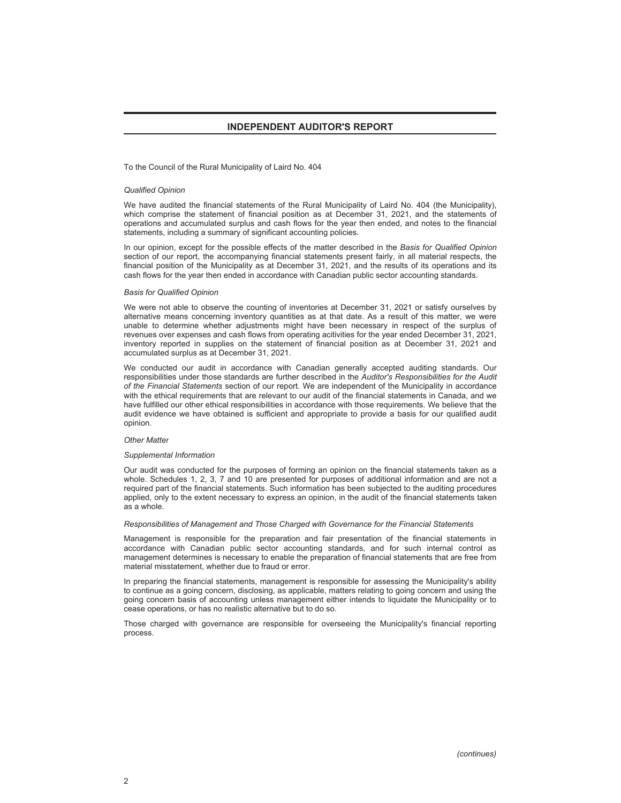#### **INDEPENDENT AUDITOR'S REPORT**

To the Council of the Rural Municipality of Laird No. 404

#### *Qualified Opinion*

We have audited the financial statements of the Rural Municipality of Laird No. 404 (the Municipality), which comprise the statement of financial position as at December 31, 2021, and the statements of operations and accumulated surplus and cash flows for the year then ended, and notes to the financial statements, including a summary of significant accounting policies.

In our opinion, except for the possible effects of the matter described in the *Basis for Qualified Opinion* section of our report, the accompanying financial statements present fairly, in all material respects, the financial position of the Municipality as at December 31, 2021, and the results of its operations and its cash flows for the year then ended in accordance with Canadian public sector accounting standards.

#### *Basis for Qualified Opinion*

We were not able to observe the counting of inventories at December 31, 2021 or satisfy ourselves by alternative means concerning inventory quantities as at that date. As a result of this matter, we were unable to determine whether adjustments might have been necessary in respect of the surplus of revenues over expenses and cash flows from operating acitivities for the year ended December 31, 2021, inventory reported in supplies on the statement of financial position as at December 31, 2021 and accumulated surplus as at December 31, 2021.

We conducted our audit in accordance with Canadian generally accepted auditing standards. Our responsibilities under those standards are further described in the *Auditor's Responsibilities for the Audit of the Financial Statements* section of our report. We are independent of the Municipality in accordance with the ethical requirements that are relevant to our audit of the financial statements in Canada, and we have fulfilled our other ethical responsibilities in accordance with those requirements. We believe that the audit evidence we have obtained is sufficient and appropriate to provide a basis for our qualified audit opinion.

#### *Other Matter*

#### *Supplemental Information*

Our audit was conducted for the purposes of forming an opinion on the financial statements taken as a whole. Schedules 1, 2, 3, 7 and 10 are presented for purposes of additional information and are not a required part of the financial statements. Such information has been subjected to the auditing procedures applied, only to the extent necessary to express an opinion, in the audit of the financial statements taken as a whole.

#### *Responsibilities of Management and Those Charged with Governance for the Financial Statements*

Management is responsible for the preparation and fair presentation of the financial statements in accordance with Canadian public sector accounting standards, and for such internal control as management determines is necessary to enable the preparation of financial statements that are free from material misstatement, whether due to fraud or error.

In preparing the financial statements, management is responsible for assessing the Municipality's ability to continue as a going concern, disclosing, as applicable, matters relating to going concern and using the going concern basis of accounting unless management either intends to liquidate the Municipality or to cease operations, or has no realistic alternative but to do so.

Those charged with governance are responsible for overseeing the Municipality's financial reporting process.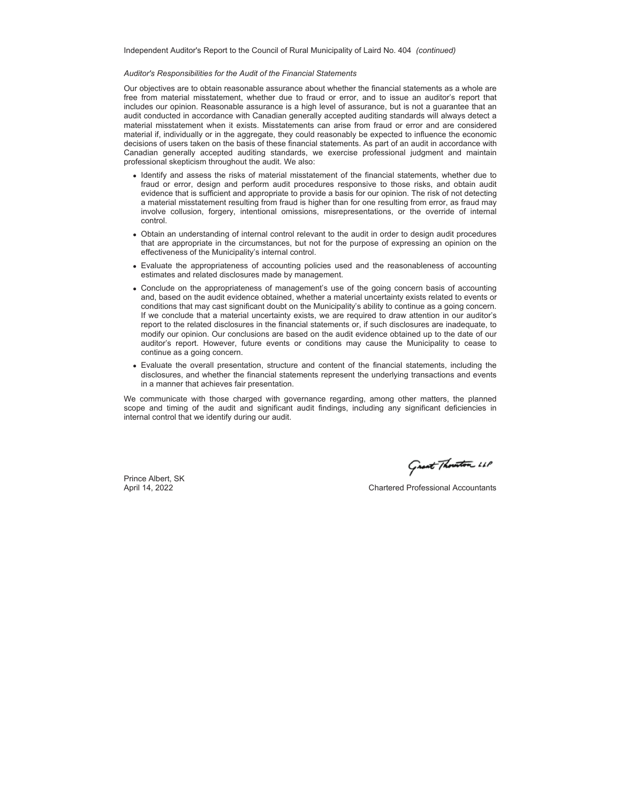Independent Auditor's Report to the Council of Rural Municipality of Laird No. 404 *(continued)*

#### *Auditor's Responsibilities for the Audit of the Financial Statements*

Our objectives are to obtain reasonable assurance about whether the financial statements as a whole are free from material misstatement, whether due to fraud or error, and to issue an auditor's report that includes our opinion. Reasonable assurance is a high level of assurance, but is not a guarantee that an audit conducted in accordance with Canadian generally accepted auditing standards will always detect a material misstatement when it exists. Misstatements can arise from fraud or error and are considered material if, individually or in the aggregate, they could reasonably be expected to influence the economic decisions of users taken on the basis of these financial statements. As part of an audit in accordance with Canadian generally accepted auditing standards, we exercise professional judgment and maintain professional skepticism throughout the audit. We also:

- Identify and assess the risks of material misstatement of the financial statements, whether due to fraud or error, design and perform audit procedures responsive to those risks, and obtain audit evidence that is sufficient and appropriate to provide a basis for our opinion. The risk of not detecting a material misstatement resulting from fraud is higher than for one resulting from error, as fraud may involve collusion, forgery, intentional omissions, misrepresentations, or the override of internal control.
- Obtain an understanding of internal control relevant to the audit in order to design audit procedures that are appropriate in the circumstances, but not for the purpose of expressing an opinion on the effectiveness of the Municipality's internal control.
- Evaluate the appropriateness of accounting policies used and the reasonableness of accounting estimates and related disclosures made by management.
- Conclude on the appropriateness of management's use of the going concern basis of accounting and, based on the audit evidence obtained, whether a material uncertainty exists related to events or conditions that may cast significant doubt on the Municipality's ability to continue as a going concern. If we conclude that a material uncertainty exists, we are required to draw attention in our auditor's report to the related disclosures in the financial statements or, if such disclosures are inadequate, to modify our opinion. Our conclusions are based on the audit evidence obtained up to the date of our auditor's report. However, future events or conditions may cause the Municipality to cease to continue as a going concern.
- Evaluate the overall presentation, structure and content of the financial statements, including the disclosures, and whether the financial statements represent the underlying transactions and events in a manner that achieves fair presentation.

We communicate with those charged with governance regarding, among other matters, the planned scope and timing of the audit and significant audit findings, including any significant deficiencies in internal control that we identify during our audit.

Prince Albert, SK

Grant Thouton LLP

April 14, 2022 Chartered Professional Accountants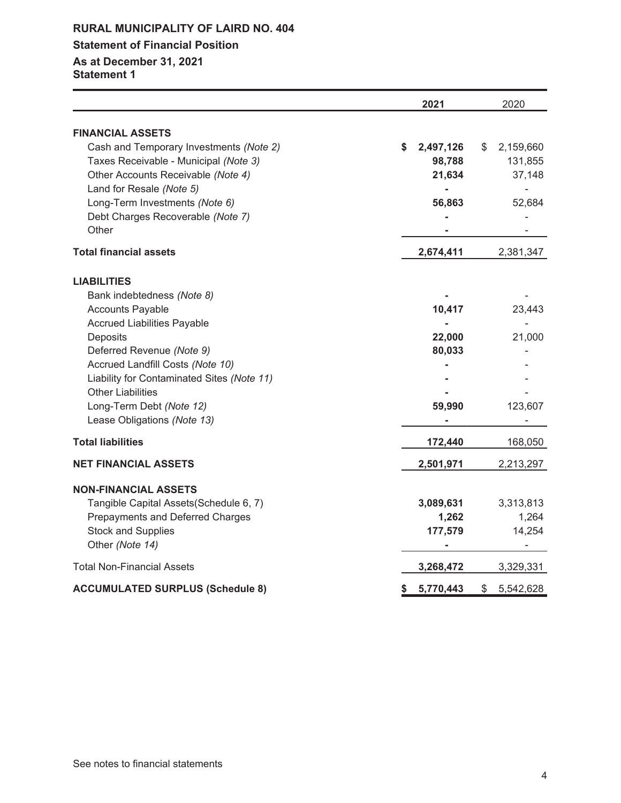# **Statement of Financial Position**

**As at December 31, 2021** 

**Statement 1**

|                                            | 2021            | 2020            |
|--------------------------------------------|-----------------|-----------------|
|                                            |                 |                 |
| <b>FINANCIAL ASSETS</b>                    |                 |                 |
| Cash and Temporary Investments (Note 2)    | \$<br>2,497,126 | \$<br>2,159,660 |
| Taxes Receivable - Municipal (Note 3)      | 98,788          | 131,855         |
| Other Accounts Receivable (Note 4)         | 21,634          | 37,148          |
| Land for Resale (Note 5)                   |                 |                 |
| Long-Term Investments (Note 6)             | 56,863          | 52,684          |
| Debt Charges Recoverable (Note 7)          |                 |                 |
| Other                                      |                 |                 |
| <b>Total financial assets</b>              | 2,674,411       | 2,381,347       |
| <b>LIABILITIES</b>                         |                 |                 |
| Bank indebtedness (Note 8)                 |                 |                 |
| <b>Accounts Payable</b>                    | 10,417          | 23,443          |
| <b>Accrued Liabilities Payable</b>         |                 |                 |
| Deposits                                   | 22,000          | 21,000          |
| Deferred Revenue (Note 9)                  | 80,033          |                 |
| Accrued Landfill Costs (Note 10)           |                 |                 |
| Liability for Contaminated Sites (Note 11) |                 |                 |
| <b>Other Liabilities</b>                   |                 |                 |
| Long-Term Debt (Note 12)                   | 59,990          | 123,607         |
| Lease Obligations (Note 13)                |                 |                 |
| <b>Total liabilities</b>                   | 172,440         | 168,050         |
| <b>NET FINANCIAL ASSETS</b>                | 2,501,971       | 2,213,297       |
| <b>NON-FINANCIAL ASSETS</b>                |                 |                 |
| Tangible Capital Assets(Schedule 6, 7)     | 3,089,631       | 3,313,813       |
| Prepayments and Deferred Charges           | 1,262           | 1,264           |
| <b>Stock and Supplies</b>                  | 177,579         | 14,254          |
| Other (Note 14)                            |                 |                 |
| <b>Total Non-Financial Assets</b>          | 3,268,472       | 3,329,331       |
| <b>ACCUMULATED SURPLUS (Schedule 8)</b>    | \$<br>5,770,443 | \$<br>5,542,628 |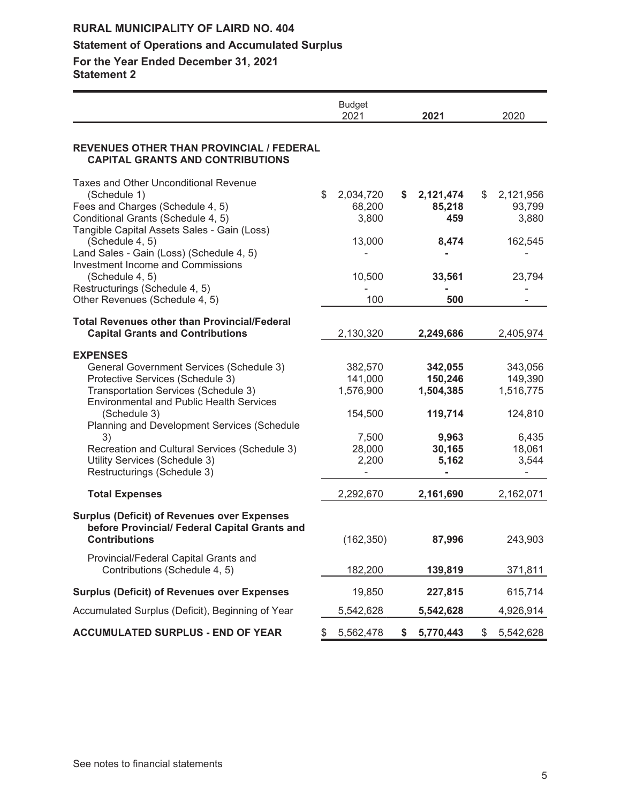# **Statement of Operations and Accumulated Surplus**

# **For the Year Ended December 31, 2021**

**Statement 2**

|                                                                                                                                                                                                                                                                                                                                                                                  | <b>Budget</b><br>2021               | 2021                                | 2020                                |  |  |  |  |
|----------------------------------------------------------------------------------------------------------------------------------------------------------------------------------------------------------------------------------------------------------------------------------------------------------------------------------------------------------------------------------|-------------------------------------|-------------------------------------|-------------------------------------|--|--|--|--|
| <b>REVENUES OTHER THAN PROVINCIAL / FEDERAL</b><br><b>CAPITAL GRANTS AND CONTRIBUTIONS</b>                                                                                                                                                                                                                                                                                       |                                     |                                     |                                     |  |  |  |  |
| <b>Taxes and Other Unconditional Revenue</b><br>(Schedule 1)<br>Fees and Charges (Schedule 4, 5)<br>Conditional Grants (Schedule 4, 5)<br>Tangible Capital Assets Sales - Gain (Loss)                                                                                                                                                                                            | \$<br>2,034,720<br>68,200<br>3,800  | 2,121,474<br>\$<br>85,218<br>459    | 2,121,956<br>\$<br>93,799<br>3,880  |  |  |  |  |
| (Schedule 4, 5)<br>Land Sales - Gain (Loss) (Schedule 4, 5)<br><b>Investment Income and Commissions</b>                                                                                                                                                                                                                                                                          | 13,000                              | 8,474                               | 162,545                             |  |  |  |  |
| (Schedule 4, 5)<br>Restructurings (Schedule 4, 5)<br>Other Revenues (Schedule 4, 5)                                                                                                                                                                                                                                                                                              | 10,500<br>100                       | 33,561<br>500                       | 23,794                              |  |  |  |  |
| <b>Total Revenues other than Provincial/Federal</b><br><b>Capital Grants and Contributions</b>                                                                                                                                                                                                                                                                                   | 2,130,320                           | 2,249,686                           | 2,405,974                           |  |  |  |  |
| <b>EXPENSES</b><br>General Government Services (Schedule 3)<br>Protective Services (Schedule 3)<br>Transportation Services (Schedule 3)<br><b>Environmental and Public Health Services</b><br>(Schedule 3)<br>Planning and Development Services (Schedule<br>3)<br>Recreation and Cultural Services (Schedule 3)<br>Utility Services (Schedule 3)<br>Restructurings (Schedule 3) | 382,570<br>141,000<br>1,576,900     | 342,055<br>150,246<br>1,504,385     | 343,056<br>149,390<br>1,516,775     |  |  |  |  |
|                                                                                                                                                                                                                                                                                                                                                                                  | 154,500<br>7,500<br>28,000<br>2,200 | 119,714<br>9,963<br>30,165<br>5,162 | 124,810<br>6,435<br>18,061<br>3,544 |  |  |  |  |
| <b>Total Expenses</b>                                                                                                                                                                                                                                                                                                                                                            | 2,292,670                           | 2,161,690                           | 2,162,071                           |  |  |  |  |
| <b>Surplus (Deficit) of Revenues over Expenses</b><br>before Provincial/ Federal Capital Grants and<br><b>Contributions</b>                                                                                                                                                                                                                                                      | (162, 350)                          | 87,996                              | 243,903                             |  |  |  |  |
| Provincial/Federal Capital Grants and<br>Contributions (Schedule 4, 5)                                                                                                                                                                                                                                                                                                           | 182,200                             | 139,819                             | 371,811                             |  |  |  |  |
| <b>Surplus (Deficit) of Revenues over Expenses</b>                                                                                                                                                                                                                                                                                                                               | 19,850                              | 227,815                             | 615,714                             |  |  |  |  |
| Accumulated Surplus (Deficit), Beginning of Year                                                                                                                                                                                                                                                                                                                                 | 5,542,628                           | 5,542,628                           | 4,926,914                           |  |  |  |  |
| <b>ACCUMULATED SURPLUS - END OF YEAR</b>                                                                                                                                                                                                                                                                                                                                         | 5,562,478<br>\$                     | \$<br>5,770,443                     | 5,542,628<br>\$                     |  |  |  |  |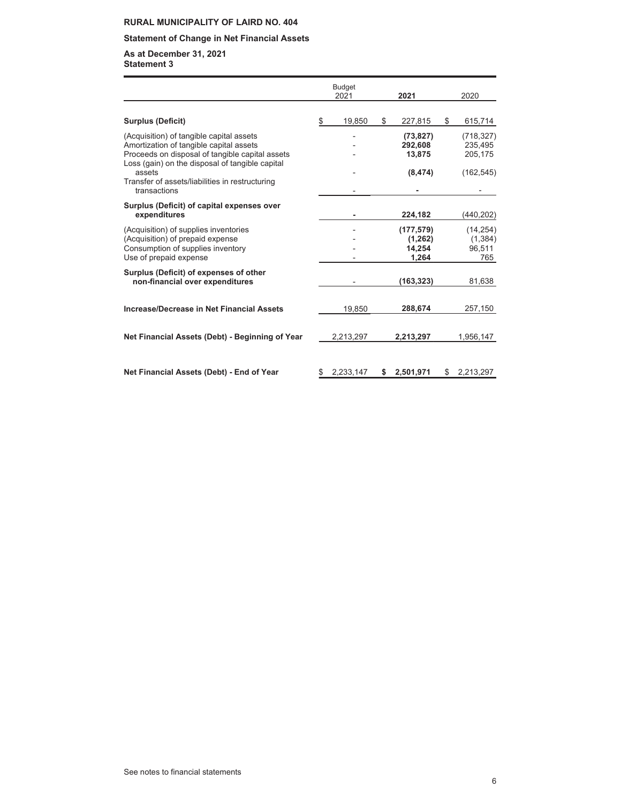# **Statement of Change in Net Financial Assets**

**As at December 31, 2021 Statement 3**

|                                                                                                                                                                                           | <b>Budget</b><br>2021 | 2021                                     | 2020                                   |
|-------------------------------------------------------------------------------------------------------------------------------------------------------------------------------------------|-----------------------|------------------------------------------|----------------------------------------|
| <b>Surplus (Deficit)</b>                                                                                                                                                                  | \$<br>19,850          | \$<br>227,815                            | \$<br>615,714                          |
| (Acquisition) of tangible capital assets<br>Amortization of tangible capital assets<br>Proceeds on disposal of tangible capital assets<br>Loss (gain) on the disposal of tangible capital |                       | (73, 827)<br>292,608<br>13,875           | (718, 327)<br>235,495<br>205,175       |
| assets<br>Transfer of assets/liabilities in restructuring<br>transactions                                                                                                                 |                       | (8, 474)                                 | (162, 545)                             |
| Surplus (Deficit) of capital expenses over<br>expenditures                                                                                                                                |                       | 224,182                                  | (440,202)                              |
| (Acquisition) of supplies inventories<br>(Acquisition) of prepaid expense<br>Consumption of supplies inventory<br>Use of prepaid expense                                                  |                       | (177, 579)<br>(1,262)<br>14,254<br>1,264 | (14, 254)<br>(1, 384)<br>96,511<br>765 |
| Surplus (Deficit) of expenses of other<br>non-financial over expenditures                                                                                                                 |                       | (163, 323)                               | 81,638                                 |
| Increase/Decrease in Net Financial Assets                                                                                                                                                 | 19,850                | 288,674                                  | 257,150                                |
| Net Financial Assets (Debt) - Beginning of Year                                                                                                                                           | 2,213,297             | 2,213,297                                | 1,956,147                              |
| Net Financial Assets (Debt) - End of Year                                                                                                                                                 | \$<br>2,233,147       | \$<br>2,501,971                          | \$<br>2,213,297                        |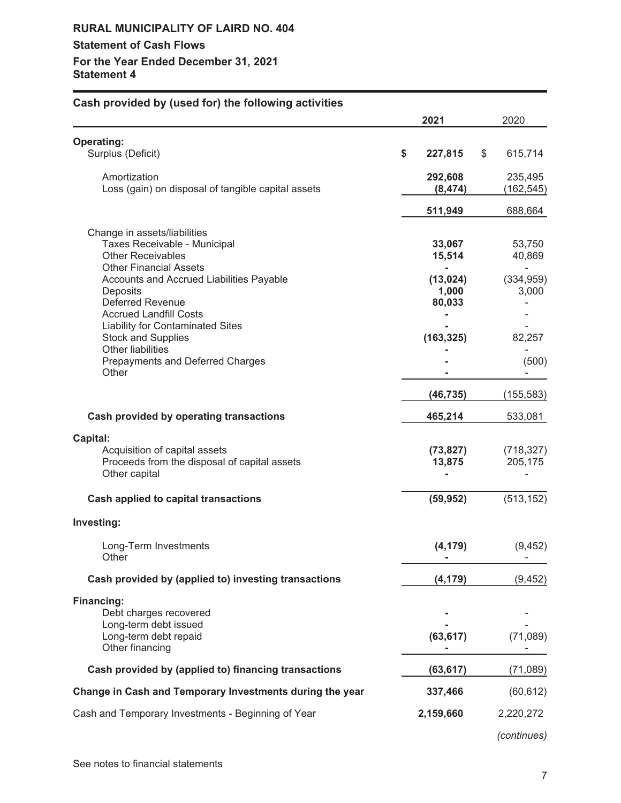# **RURAL MUNICIPALITY OF LAIRD NO. 404 Statement of Cash Flows For the Year Ended December 31, 2021 Statement 4**

| Cash provided by (used for) the following activities                                                                      |                              |                       |
|---------------------------------------------------------------------------------------------------------------------------|------------------------------|-----------------------|
|                                                                                                                           | 2021                         | 2020                  |
| <b>Operating:</b><br>Surplus (Deficit)                                                                                    | \$<br>227,815                | \$<br>615,714         |
| Amortization<br>Loss (gain) on disposal of tangible capital assets                                                        | 292,608<br>(8, 474)          | 235,495<br>(162, 545) |
|                                                                                                                           | 511,949                      | 688,664               |
| Change in assets/liabilities<br>Taxes Receivable - Municipal<br><b>Other Receivables</b><br><b>Other Financial Assets</b> | 33,067<br>15,514             | 53,750<br>40,869      |
| Accounts and Accrued Liabilities Payable<br>Deposits<br><b>Deferred Revenue</b><br><b>Accrued Landfill Costs</b>          | (13, 024)<br>1,000<br>80,033 | (334, 959)<br>3,000   |
| <b>Liability for Contaminated Sites</b><br><b>Stock and Supplies</b><br>Other liabilities                                 | (163, 325)                   | 82,257                |
| Prepayments and Deferred Charges<br>Other                                                                                 |                              | (500)                 |
|                                                                                                                           | (46, 735)                    | (155, 583)            |
| Cash provided by operating transactions                                                                                   | 465,214                      | 533,081               |
| Capital:<br>Acquisition of capital assets<br>Proceeds from the disposal of capital assets<br>Other capital                | (73, 827)<br>13,875          | (718, 327)<br>205,175 |
| <b>Cash applied to capital transactions</b>                                                                               | (59, 952)                    | (513, 152)            |
| Investing:                                                                                                                |                              |                       |
| Long-Term Investments<br>Other                                                                                            | (4, 179)                     | (9, 452)              |
| Cash provided by (applied to) investing transactions                                                                      | (4, 179)                     | (9, 452)              |
| Financing:<br>Debt charges recovered<br>Long-term debt issued<br>Long-term debt repaid<br>Other financing                 | (63, 617)                    | (71,089)              |
| Cash provided by (applied to) financing transactions                                                                      | (63, 617)                    | (71,089)              |
| Change in Cash and Temporary Investments during the year                                                                  | 337,466                      | (60, 612)             |
| Cash and Temporary Investments - Beginning of Year                                                                        | 2,159,660                    | 2,220,272             |

*(continues)*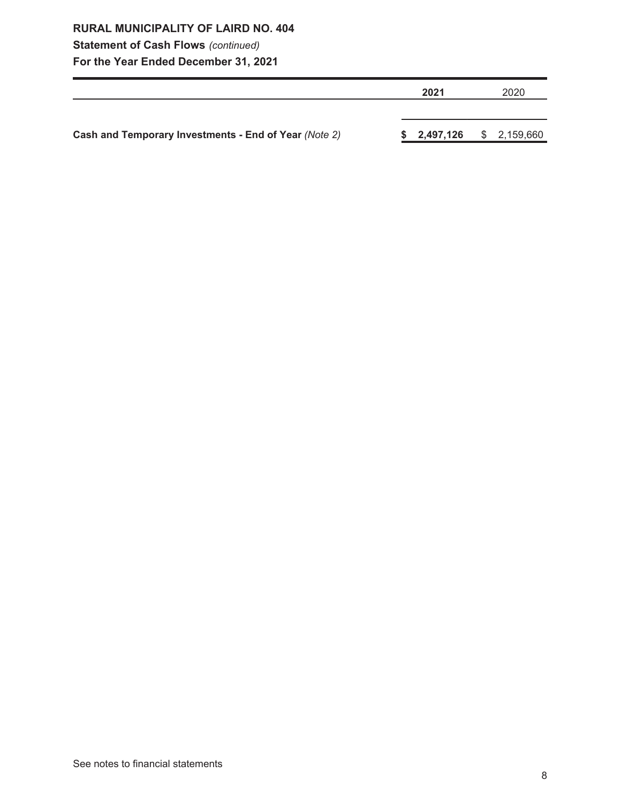**Statement of Cash Flows** *(continued)*

**For the Year Ended December 31, 2021**

|                                                       | 2021        | 2020         |
|-------------------------------------------------------|-------------|--------------|
|                                                       |             |              |
| Cash and Temporary Investments - End of Year (Note 2) | \$2,497,126 | \$ 2,159,660 |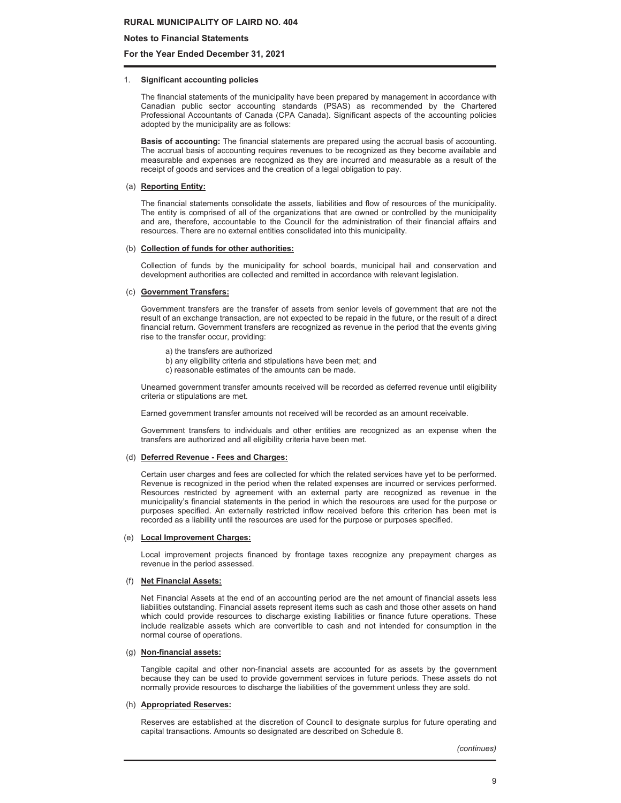#### **Notes to Financial Statements**

#### **For the Year Ended December 31, 2021**

#### 1. **Significant accounting policies**

The financial statements of the municipality have been prepared by management in accordance with Canadian public sector accounting standards (PSAS) as recommended by the Chartered Professional Accountants of Canada (CPA Canada). Significant aspects of the accounting policies adopted by the municipality are as follows:

**Basis of accounting:** The financial statements are prepared using the accrual basis of accounting. The accrual basis of accounting requires revenues to be recognized as they become available and measurable and expenses are recognized as they are incurred and measurable as a result of the receipt of goods and services and the creation of a legal obligation to pay.

#### (a) **Reporting Entity:**

The financial statements consolidate the assets, liabilities and flow of resources of the municipality. The entity is comprised of all of the organizations that are owned or controlled by the municipality and are, therefore, accountable to the Council for the administration of their financial affairs and resources. There are no external entities consolidated into this municipality.

#### (b) **Collection of funds for other authorities:**

Collection of funds by the municipality for school boards, municipal hail and conservation and development authorities are collected and remitted in accordance with relevant legislation.

#### (c) **Government Transfers:**

Government transfers are the transfer of assets from senior levels of government that are not the result of an exchange transaction, are not expected to be repaid in the future, or the result of a direct financial return. Government transfers are recognized as revenue in the period that the events giving rise to the transfer occur, providing:

- a) the transfers are authorized
- b) any eligibility criteria and stipulations have been met; and
- c) reasonable estimates of the amounts can be made.

Unearned government transfer amounts received will be recorded as deferred revenue until eligibility criteria or stipulations are met.

Earned government transfer amounts not received will be recorded as an amount receivable.

Government transfers to individuals and other entities are recognized as an expense when the transfers are authorized and all eligibility criteria have been met.

#### (d) **Deferred Revenue - Fees and Charges:**

Certain user charges and fees are collected for which the related services have yet to be performed. Revenue is recognized in the period when the related expenses are incurred or services performed. Resources restricted by agreement with an external party are recognized as revenue in the municipality's financial statements in the period in which the resources are used for the purpose or purposes specified. An externally restricted inflow received before this criterion has been met is recorded as a liability until the resources are used for the purpose or purposes specified.

#### (e) **Local Improvement Charges:**

Local improvement projects financed by frontage taxes recognize any prepayment charges as revenue in the period assessed.

#### (f) **Net Financial Assets:**

Net Financial Assets at the end of an accounting period are the net amount of financial assets less liabilities outstanding. Financial assets represent items such as cash and those other assets on hand which could provide resources to discharge existing liabilities or finance future operations. These include realizable assets which are convertible to cash and not intended for consumption in the normal course of operations.

#### (g) **Non-financial assets:**

Tangible capital and other non-financial assets are accounted for as assets by the government because they can be used to provide government services in future periods. These assets do not normally provide resources to discharge the liabilities of the government unless they are sold.

#### (h) **Appropriated Reserves:**

Reserves are established at the discretion of Council to designate surplus for future operating and capital transactions. Amounts so designated are described on Schedule 8.

*(continues)*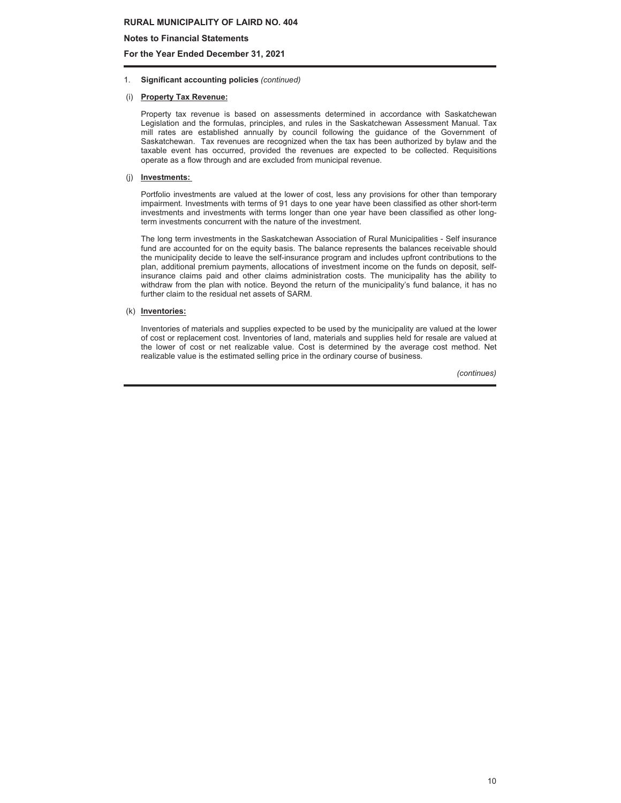#### **Notes to Financial Statements**

**For the Year Ended December 31, 2021**

1. **Significant accounting policies** *(continued)*

#### (i) **Property Tax Revenue:**

Property tax revenue is based on assessments determined in accordance with Saskatchewan Legislation and the formulas, principles, and rules in the Saskatchewan Assessment Manual. Tax mill rates are established annually by council following the guidance of the Government of Saskatchewan. Tax revenues are recognized when the tax has been authorized by bylaw and the taxable event has occurred, provided the revenues are expected to be collected. Requisitions operate as a flow through and are excluded from municipal revenue.

## (j) **Investments:**

Portfolio investments are valued at the lower of cost, less any provisions for other than temporary impairment. Investments with terms of 91 days to one year have been classified as other short-term investments and investments with terms longer than one year have been classified as other longterm investments concurrent with the nature of the investment.

The long term investments in the Saskatchewan Association of Rural Municipalities - Self insurance fund are accounted for on the equity basis. The balance represents the balances receivable should the municipality decide to leave the self-insurance program and includes upfront contributions to the plan, additional premium payments, allocations of investment income on the funds on deposit, selfinsurance claims paid and other claims administration costs. The municipality has the ability to withdraw from the plan with notice. Beyond the return of the municipality's fund balance, it has no further claim to the residual net assets of SARM.

#### (k) **Inventories:**

Inventories of materials and supplies expected to be used by the municipality are valued at the lower of cost or replacement cost. Inventories of land, materials and supplies held for resale are valued at the lower of cost or net realizable value. Cost is determined by the average cost method. Net realizable value is the estimated selling price in the ordinary course of business.

*(continues)*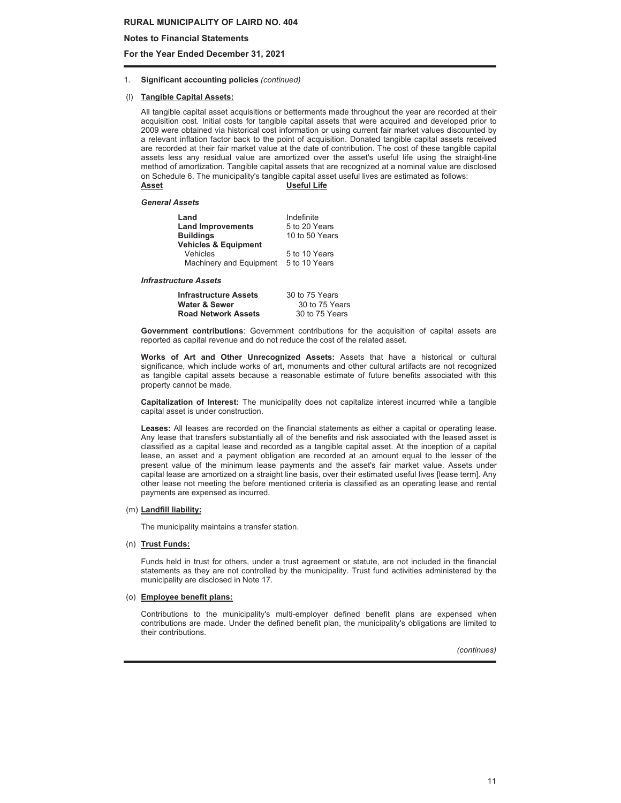#### **Notes to Financial Statements**

**For the Year Ended December 31, 2021**

#### 1. **Significant accounting policies** *(continued)*

#### (l) **Tangible Capital Assets:**

All tangible capital asset acquisitions or betterments made throughout the year are recorded at their acquisition cost. Initial costs for tangible capital assets that were acquired and developed prior to 2009 were obtained via historical cost information or using current fair market values discounted by a relevant inflation factor back to the point of acquisition. Donated tangible capital assets received are recorded at their fair market value at the date of contribution. The cost of these tangible capital assets less any residual value are amortized over the asset's useful life using the straight-line method of amortization. Tangible capital assets that are recognized at a nominal value are disclosed on Schedule 6. The municipality's tangible capital asset useful lives are estimated as follows: **Asset Useful Life**

#### *General Assets*

| Land                            | Indefinite     |
|---------------------------------|----------------|
| <b>Land Improvements</b>        | 5 to 20 Years  |
| <b>Buildings</b>                | 10 to 50 Years |
| <b>Vehicles &amp; Equipment</b> |                |
| Vehicles                        | 5 to 10 Years  |
| Machinery and Equipment         | 5 to 10 Years  |

#### *Infrastructure Assets*

| <b>Infrastructure Assets</b> | 30 to 75 Years |
|------------------------------|----------------|
| <b>Water &amp; Sewer</b>     | 30 to 75 Years |
| <b>Road Network Assets</b>   | 30 to 75 Years |

**Government contributions**: Government contributions for the acquisition of capital assets are reported as capital revenue and do not reduce the cost of the related asset.

**Works of Art and Other Unrecognized Assets:** Assets that have a historical or cultural significance, which include works of art, monuments and other cultural artifacts are not recognized as tangible capital assets because a reasonable estimate of future benefits associated with this property cannot be made.

**Capitalization of Interest:** The municipality does not capitalize interest incurred while a tangible capital asset is under construction.

**Leases:** All leases are recorded on the financial statements as either a capital or operating lease. Any lease that transfers substantially all of the benefits and risk associated with the leased asset is classified as a capital lease and recorded as a tangible capital asset. At the inception of a capital lease, an asset and a payment obligation are recorded at an amount equal to the lesser of the present value of the minimum lease payments and the asset's fair market value. Assets under capital lease are amortized on a straight line basis, over their estimated useful lives [lease term]. Any other lease not meeting the before mentioned criteria is classified as an operating lease and rental payments are expensed as incurred.

#### (m) **Landfill liability:**

The municipality maintains a transfer station.

(n) **Trust Funds:**

Funds held in trust for others, under a trust agreement or statute, are not included in the financial statements as they are not controlled by the municipality. Trust fund activities administered by the municipality are disclosed in Note 17.

#### (o) **Employee benefit plans:**

Contributions to the municipality's multi-employer defined benefit plans are expensed when contributions are made. Under the defined benefit plan, the municipality's obligations are limited to their contributions.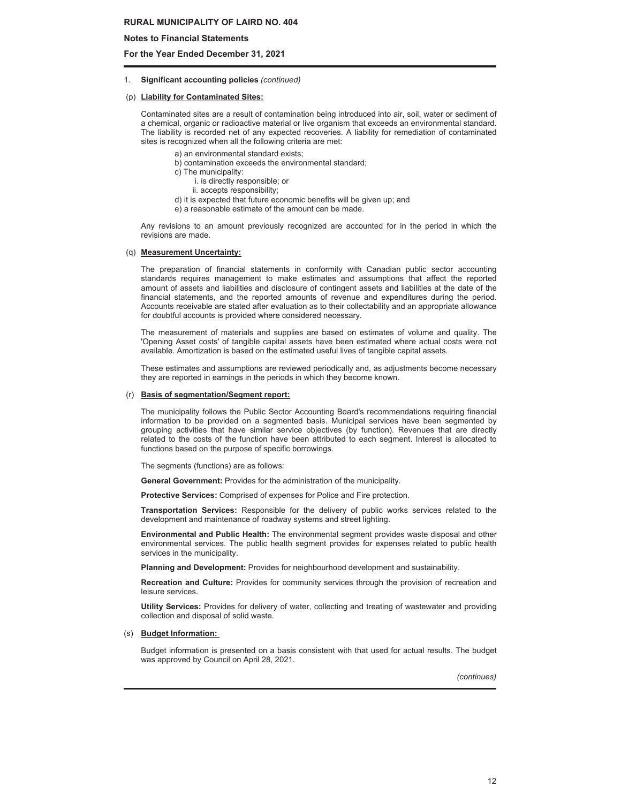#### **Notes to Financial Statements**

**For the Year Ended December 31, 2021**

1. **Significant accounting policies** *(continued)*

#### (p) **Liability for Contaminated Sites:**

Contaminated sites are a result of contamination being introduced into air, soil, water or sediment of a chemical, organic or radioactive material or live organism that exceeds an environmental standard. The liability is recorded net of any expected recoveries. A liability for remediation of contaminated sites is recognized when all the following criteria are met:

- a) an environmental standard exists;
- b) contamination exceeds the environmental standard;
- c) The municipality:
	- i. is directly responsible; or
	- ii. accepts responsibility;
- d) it is expected that future economic benefits will be given up; and
- e) a reasonable estimate of the amount can be made.

Any revisions to an amount previously recognized are accounted for in the period in which the revisions are made.

#### (q) **Measurement Uncertainty:**

The preparation of financial statements in conformity with Canadian public sector accounting standards requires management to make estimates and assumptions that affect the reported amount of assets and liabilities and disclosure of contingent assets and liabilities at the date of the financial statements, and the reported amounts of revenue and expenditures during the period. Accounts receivable are stated after evaluation as to their collectability and an appropriate allowance for doubtful accounts is provided where considered necessary.

The measurement of materials and supplies are based on estimates of volume and quality. The 'Opening Asset costs' of tangible capital assets have been estimated where actual costs were not available. Amortization is based on the estimated useful lives of tangible capital assets.

These estimates and assumptions are reviewed periodically and, as adjustments become necessary they are reported in earnings in the periods in which they become known.

#### (r) **Basis of segmentation/Segment report:**

The municipality follows the Public Sector Accounting Board's recommendations requiring financial information to be provided on a segmented basis. Municipal services have been segmented by grouping activities that have similar service objectives (by function). Revenues that are directly related to the costs of the function have been attributed to each segment. Interest is allocated to functions based on the purpose of specific borrowings.

The segments (functions) are as follows:

**General Government:** Provides for the administration of the municipality.

**Protective Services:** Comprised of expenses for Police and Fire protection.

**Transportation Services:** Responsible for the delivery of public works services related to the development and maintenance of roadway systems and street lighting.

**Environmental and Public Health:** The environmental segment provides waste disposal and other environmental services. The public health segment provides for expenses related to public health services in the municipality.

**Planning and Development:** Provides for neighbourhood development and sustainability.

**Recreation and Culture:** Provides for community services through the provision of recreation and leisure services.

**Utility Services:** Provides for delivery of water, collecting and treating of wastewater and providing collection and disposal of solid waste.

#### (s) **Budget Information:**

Budget information is presented on a basis consistent with that used for actual results. The budget was approved by Council on April 28, 2021.

*(continues)*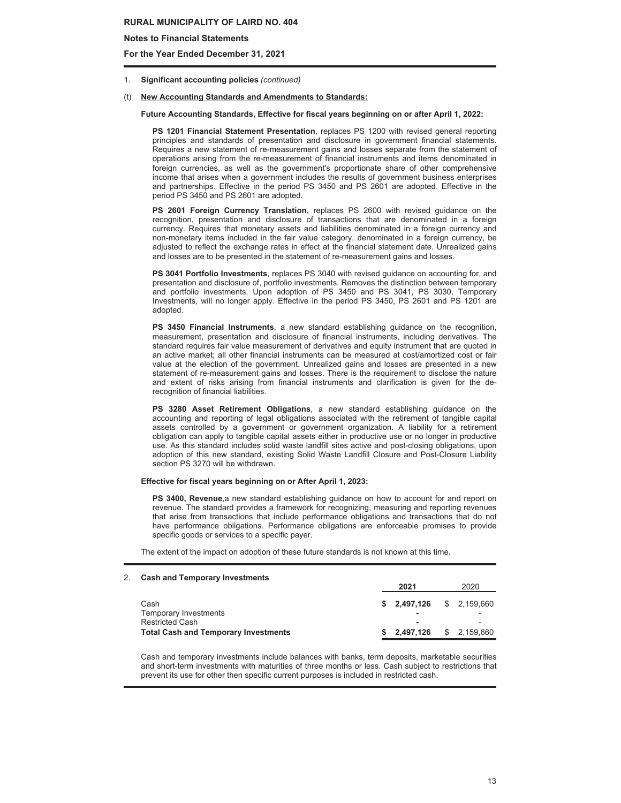#### **Notes to Financial Statements**

**For the Year Ended December 31, 2021**

- 1. **Significant accounting policies** *(continued)*
- (t) **New Accounting Standards and Amendments to Standards:**

#### **Future Accounting Standards, Effective for fiscal years beginning on or after April 1, 2022:**

**PS 1201 Financial Statement Presentation**, replaces PS 1200 with revised general reporting principles and standards of presentation and disclosure in government financial statements. Requires a new statement of re-measurement gains and losses separate from the statement of operations arising from the re-measurement of financial instruments and items denominated in foreign currencies, as well as the government's proportionate share of other comprehensive income that arises when a government includes the results of government business enterprises and partnerships. Effective in the period PS 3450 and PS 2601 are adopted. Effective in the period PS 3450 and PS 2601 are adopted.

**PS 2601 Foreign Currency Translation**, replaces PS 2600 with revised guidance on the recognition, presentation and disclosure of transactions that are denominated in a foreign currency. Requires that monetary assets and liabilities denominated in a foreign currency and non-monetary items included in the fair value category, denominated in a foreign currency, be adjusted to reflect the exchange rates in effect at the financial statement date. Unrealized gains and losses are to be presented in the statement of re-measurement gains and losses.

**PS 3041 Portfolio Investments**, replaces PS 3040 with revised guidance on accounting for, and presentation and disclosure of, portfolio investments. Removes the distinction between temporary and portfolio investments. Upon adoption of PS 3450 and PS 3041, PS 3030, Temporary Investments, will no longer apply. Effective in the period PS 3450, PS 2601 and PS 1201 are adopted.

**PS 3450 Financial Instruments**, a new standard establishing guidance on the recognition, measurement, presentation and disclosure of financial instruments, including derivatives. The standard requires fair value measurement of derivatives and equity instrument that are quoted in an active market; all other financial instruments can be measured at cost/amortized cost or fair value at the election of the government. Unrealized gains and losses are presented in a new statement of re-measurement gains and losses. There is the requirement to disclose the nature and extent of risks arising from financial instruments and clarification is given for the derecognition of financial liabilities.

**PS 3280 Asset Retirement Obligations**, a new standard establishing guidance on the accounting and reporting of legal obligations associated with the retirement of tangible capital assets controlled by a government or government organization. A liability for a retirement obligation can apply to tangible capital assets either in productive use or no longer in productive use. As this standard includes solid waste landfill sites active and post-closing obligations, upon adoption of this new standard, existing Solid Waste Landfill Closure and Post-Closure Liability section PS 3270 will be withdrawn.

#### **Effective for fiscal years beginning on or After April 1, 2023:**

**PS 3400, Revenue**,a new standard establishing guidance on how to account for and report on revenue. The standard provides a framework for recognizing, measuring and reporting revenues that arise from transactions that include performance obligations and transactions that do not have performance obligations. Performance obligations are enforceable promises to provide specific goods or services to a specific payer.

The extent of the impact on adoption of these future standards is not known at this time.

| <b>Cash and Temporary Investments</b>       |             |             |
|---------------------------------------------|-------------|-------------|
|                                             | 2021        | 2020        |
| Cash<br>Temporary Investments               | \$2,497,126 | \$2,159,660 |
| <b>Restricted Cash</b>                      | -           |             |
| <b>Total Cash and Temporary Investments</b> | 2.497.126   | \$2.159.660 |

Cash and temporary investments include balances with banks, term deposits, marketable securities and short-term investments with maturities of three months or less. Cash subject to restrictions that prevent its use for other then specific current purposes is included in restricted cash.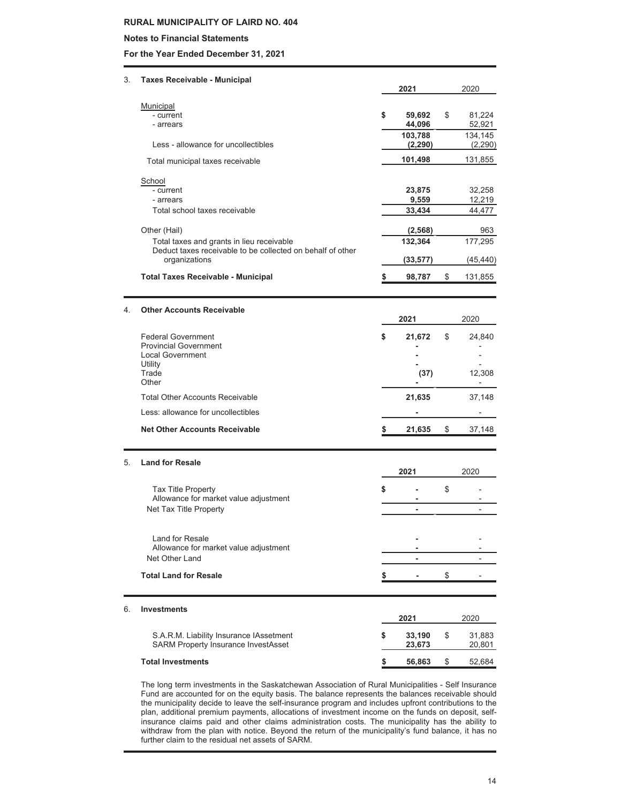#### **Notes to Financial Statements**

#### **For the Year Ended December 31, 2021**

| 3. | <b>Taxes Receivable - Municipal</b>                                         |                     |                                        |
|----|-----------------------------------------------------------------------------|---------------------|----------------------------------------|
|    |                                                                             | 2021                | 2020                                   |
|    | Municipal                                                                   |                     |                                        |
|    | - current                                                                   | \$<br>59,692        | \$<br>81,224                           |
|    | - arrears                                                                   | 44,096              | 52,921                                 |
|    | Less - allowance for uncollectibles                                         | 103,788<br>(2, 290) | 134,145<br>(2,290)                     |
|    | Total municipal taxes receivable                                            | 101,498             | 131,855                                |
|    | School                                                                      |                     |                                        |
|    | - current                                                                   | 23,875              | 32,258                                 |
|    | - arrears                                                                   | 9,559               | 12,219                                 |
|    | Total school taxes receivable                                               | 33,434              | 44,477                                 |
|    | Other (Hail)                                                                | (2, 568)            | 963                                    |
|    | Total taxes and grants in lieu receivable                                   | 132,364             | 177,295                                |
|    | Deduct taxes receivable to be collected on behalf of other<br>organizations | (33, 577)           | (45, 440)                              |
|    |                                                                             |                     |                                        |
|    | <b>Total Taxes Receivable - Municipal</b>                                   | \$<br>98,787        | \$<br>131,855                          |
| 4. | <b>Other Accounts Receivable</b>                                            |                     |                                        |
|    |                                                                             | 2021                | 2020                                   |
|    | <b>Federal Government</b>                                                   | \$<br>21,672        | \$<br>24,840                           |
|    | <b>Provincial Government</b>                                                |                     |                                        |
|    | <b>Local Government</b><br>Utility                                          |                     |                                        |
|    | Trade                                                                       | (37)                | 12,308                                 |
|    | Other                                                                       |                     | ÷                                      |
|    | <b>Total Other Accounts Receivable</b>                                      | 21,635              | 37,148                                 |
|    | Less: allowance for uncollectibles                                          |                     | $\overline{\phantom{0}}$               |
|    | <b>Net Other Accounts Receivable</b>                                        | \$<br>21,635        | \$<br>37,148                           |
|    |                                                                             |                     |                                        |
| 5. | <b>Land for Resale</b>                                                      | 2021                | 2020                                   |
|    |                                                                             |                     |                                        |
|    | Tax Title Property<br>Allowance for market value adjustment                 | \$<br>٠<br>٠        | \$<br>$\overline{a}$<br>$\overline{a}$ |
|    | Net Tax Title Property                                                      | ä,                  | $\overline{a}$                         |
|    |                                                                             |                     |                                        |
|    | <b>Land for Resale</b>                                                      |                     |                                        |
|    | Allowance for market value adjustment                                       |                     |                                        |
|    | Net Other Land                                                              | $\blacksquare$      | $\overline{\phantom{a}}$               |
|    | <b>Total Land for Resale</b>                                                | \$                  | \$                                     |
|    |                                                                             |                     |                                        |
| 6. | <b>Investments</b>                                                          |                     |                                        |
|    |                                                                             | 2021                | 2020                                   |
|    | S.A.R.M. Liability Insurance IAssetment                                     | \$<br>33,190        | \$<br>31,883                           |
|    | <b>SARM Property Insurance InvestAsset</b>                                  | 23,673              | 20,801                                 |
|    | <b>Total Investments</b>                                                    | \$<br>56,863        | \$<br>52,684                           |

The long term investments in the Saskatchewan Association of Rural Municipalities - Self Insurance Fund are accounted for on the equity basis. The balance represents the balances receivable should the municipality decide to leave the self-insurance program and includes upfront contributions to the plan, additional premium payments, allocations of investment income on the funds on deposit, selfinsurance claims paid and other claims administration costs. The municipality has the ability to withdraw from the plan with notice. Beyond the return of the municipality's fund balance, it has no further claim to the residual net assets of SARM.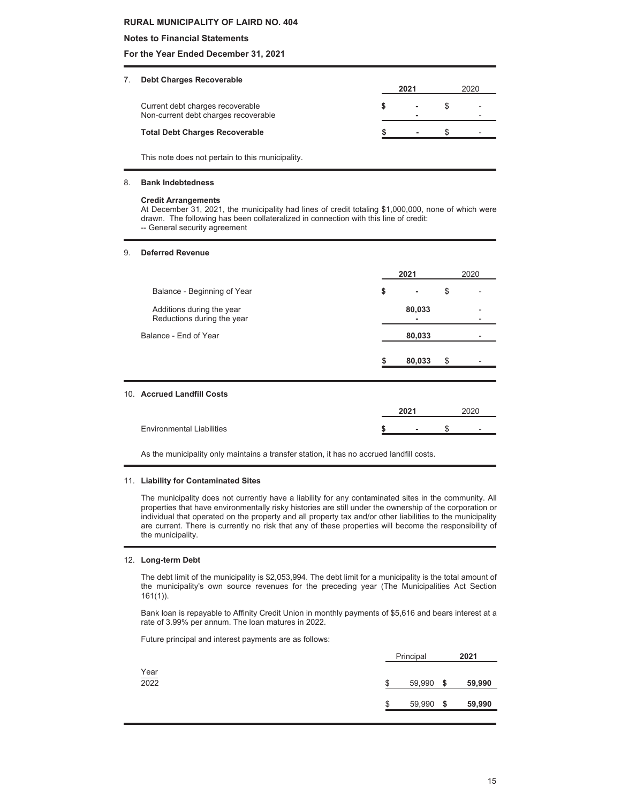#### **Notes to Financial Statements**

**For the Year Ended December 31, 2021**

# 7. **Debt Charges Recoverable 2021** 2020 Current debt charges recoverable **\$ -** \$ - **Non-current debt charges recoverable Total Debt Charges Recoverable**  $\frac{1}{2}$  **-**  $\frac{1}{2}$

This note does not pertain to this municipality.

#### 8. **Bank Indebtedness**

#### **Credit Arrangements**

At December 31, 2021, the municipality had lines of credit totaling \$1,000,000, none of which were drawn. The following has been collateralized in connection with this line of credit: -- General security agreement

#### 9. **Deferred Revenue**

|                                                         | 2021   | 2020 |
|---------------------------------------------------------|--------|------|
| Balance - Beginning of Year                             | \$     | \$   |
| Additions during the year<br>Reductions during the year | 80,033 |      |
| Balance - End of Year                                   | 80,033 |      |
|                                                         | 80,033 | \$   |
| 10. Accrued Landfill Costs                              |        |      |
|                                                         | 2021   | 2020 |
| <b>Environmental Liabilities</b>                        |        | S    |

As the municipality only maintains a transfer station, it has no accrued landfill costs.

#### 11. **Liability for Contaminated Sites**

The municipality does not currently have a liability for any contaminated sites in the community. All properties that have environmentally risky histories are still under the ownership of the corporation or individual that operated on the property and all property tax and/or other liabilities to the municipality are current. There is currently no risk that any of these properties will become the responsibility of the municipality.

#### 12. **Long-term Debt**

The debt limit of the municipality is \$2,053,994. The debt limit for a municipality is the total amount of the municipality's own source revenues for the preceding year (The Municipalities Act Section 161(1)).

Bank loan is repayable to Affinity Credit Union in monthly payments of \$5,616 and bears interest at a rate of 3.99% per annum. The loan matures in 2022.

Future principal and interest payments are as follows:

|                     |   | Principal |      | 2021   |
|---------------------|---|-----------|------|--------|
| $\frac{Year}{2022}$ | S | 59,990    | - \$ | 59,990 |
|                     |   |           |      |        |
|                     | æ | 59,990    | - S  | 59,990 |
|                     |   |           |      |        |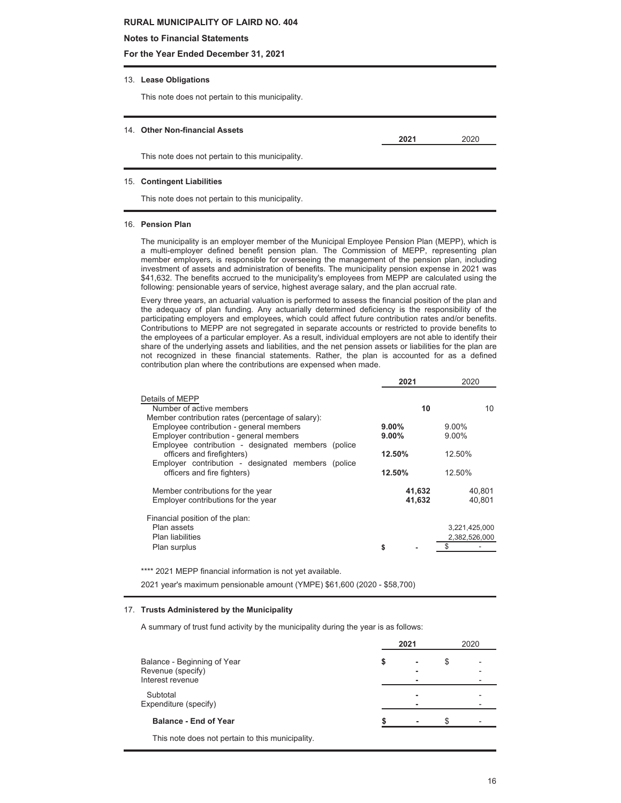#### **Notes to Financial Statements**

#### **For the Year Ended December 31, 2021**

#### 13. **Lease Obligations**

This note does not pertain to this municipality.

|  |  | 14. Other Non-financial Assets |
|--|--|--------------------------------|
|--|--|--------------------------------|

**2021** 2020

This note does not pertain to this municipality.

#### 15. **Contingent Liabilities**

This note does not pertain to this municipality.

#### 16. **Pension Plan**

The municipality is an employer member of the Municipal Employee Pension Plan (MEPP), which is a multi-employer defined benefit pension plan. The Commission of MEPP, representing plan member employers, is responsible for overseeing the management of the pension plan, including investment of assets and administration of benefits. The municipality pension expense in 2021 was \$41,632. The benefits accrued to the municipality's employees from MEPP are calculated using the following: pensionable years of service, highest average salary, and the plan accrual rate.

Every three years, an actuarial valuation is performed to assess the financial position of the plan and the adequacy of plan funding. Any actuarially determined deficiency is the responsibility of the participating employers and employees, which could affect future contribution rates and/or benefits. Contributions to MEPP are not segregated in separate accounts or restricted to provide benefits to the employees of a particular employer. As a result, individual employers are not able to identify their share of the underlying assets and liabilities, and the net pension assets or liabilities for the plan are not recognized in these financial statements. Rather, the plan is accounted for as a defined contribution plan where the contributions are expensed when made.

|                                                                                                                                                                                               | 2021                 | 2020                                |
|-----------------------------------------------------------------------------------------------------------------------------------------------------------------------------------------------|----------------------|-------------------------------------|
| Details of MEPP<br>Number of active members                                                                                                                                                   | 10                   | 10                                  |
| Member contribution rates (percentage of salary):<br>Employee contribution - general members<br>Employer contribution - general members<br>Employee contribution - designated members (police | $9.00\%$<br>$9.00\%$ | 9.00%<br>$9.00\%$                   |
| officers and firefighters)<br>Employer contribution - designated members (police                                                                                                              | $12.50\%$            | 12.50%                              |
| officers and fire fighters)                                                                                                                                                                   | 12.50%               | 12.50%                              |
| Member contributions for the year<br>Employer contributions for the year                                                                                                                      | 41,632<br>41,632     | 40,801<br>40.801                    |
| Financial position of the plan:<br>Plan assets<br><b>Plan liabilities</b><br>Plan surplus                                                                                                     | s                    | 3,221,425,000<br>2,382,526,000<br>ፍ |

\*\*\*\* 2021 MEPP financial information is not yet available.

2021 year's maximum pensionable amount (YMPE) \$61,600 (2020 - \$58,700)

#### 17. **Trusts Administered by the Municipality**

A summary of trust fund activity by the municipality during the year is as follows:

|                                                                      |   | 2021 |   | 2020 |
|----------------------------------------------------------------------|---|------|---|------|
| Balance - Beginning of Year<br>Revenue (specify)<br>Interest revenue | S |      | S |      |
| Subtotal<br>Expenditure (specify)                                    |   |      |   |      |
| <b>Balance - End of Year</b>                                         |   |      |   |      |
| This note does not pertain to this municipality.                     |   |      |   |      |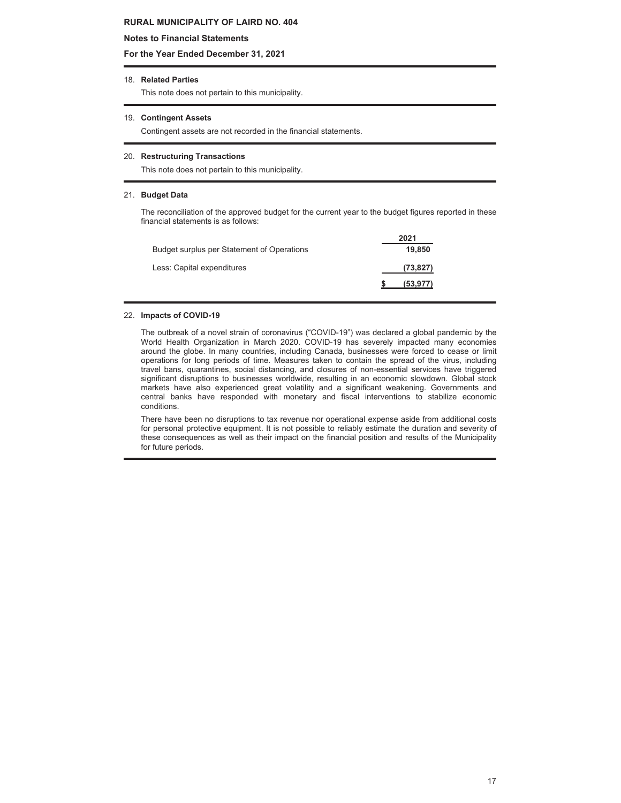#### **Notes to Financial Statements**

#### **For the Year Ended December 31, 2021**

#### 18. **Related Parties**

This note does not pertain to this municipality.

#### 19. **Contingent Assets**

Contingent assets are not recorded in the financial statements.

#### 20. **Restructuring Transactions**

This note does not pertain to this municipality.

#### 21. **Budget Data**

The reconciliation of the approved budget for the current year to the budget figures reported in these financial statements is as follows:

|                                            | 2021      |
|--------------------------------------------|-----------|
| Budget surplus per Statement of Operations | 19,850    |
| Less: Capital expenditures                 | (73, 827) |
|                                            | (53, 977) |

#### 22. **Impacts of COVID-19**

The outbreak of a novel strain of coronavirus ("COVID-19") was declared a global pandemic by the World Health Organization in March 2020. COVID-19 has severely impacted many economies around the globe. In many countries, including Canada, businesses were forced to cease or limit operations for long periods of time. Measures taken to contain the spread of the virus, including travel bans, quarantines, social distancing, and closures of non-essential services have triggered significant disruptions to businesses worldwide, resulting in an economic slowdown. Global stock markets have also experienced great volatility and a significant weakening. Governments and central banks have responded with monetary and fiscal interventions to stabilize economic conditions.

There have been no disruptions to tax revenue nor operational expense aside from additional costs for personal protective equipment. It is not possible to reliably estimate the duration and severity of these consequences as well as their impact on the financial position and results of the Municipality for future periods.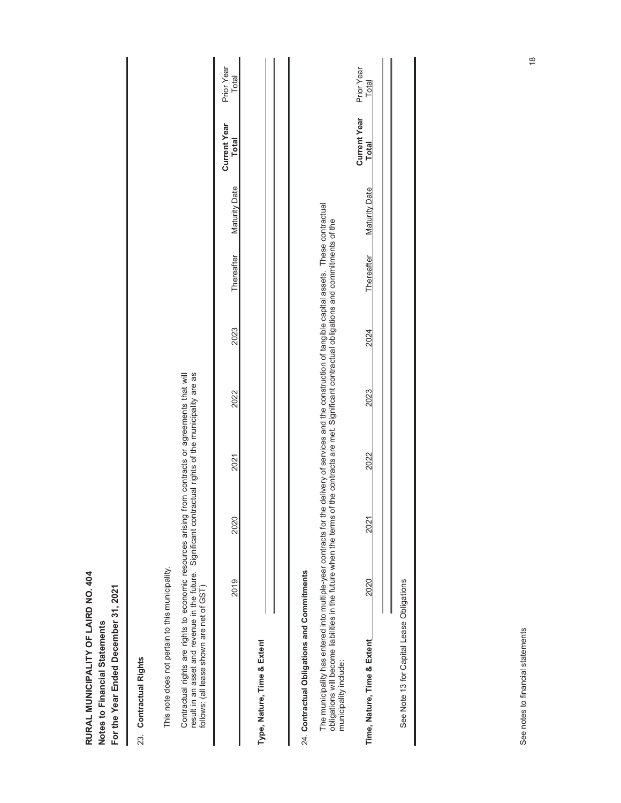RURAL MUNICIPALITY OF LAIRD NO. 404 **RURAL MUNICIPALITY OF LAIRD NO. 404** For the Year Ended December 31, 2021 **For the Year Ended December 31, 2021** Notes to Financial Statements **Notes to Financial Statements**

# 23. Contractual Rights 23. **Contractual Rights**

This note does not pertain to this municipality. This note does not pertain to this municipality.

Contractual rights are rights to economic resources arising from contracts or agreements that will<br>result in an asset and revenue in the future. Significant contractual rights of the municipality are as<br>follows: (all lease result in an asset and revenue in the future. Significant contractual rights of the municipality are as Contractual rights are rights to economic resources arising from contracts or agreements that will follows: (all lease shown are net of GST)

| 2020                                                              |      |      |      |            |                      |                                                                                                                                                                                                                                                  |                     |
|-------------------------------------------------------------------|------|------|------|------------|----------------------|--------------------------------------------------------------------------------------------------------------------------------------------------------------------------------------------------------------------------------------------------|---------------------|
|                                                                   | 2021 | 2022 | 2023 | Thereafter | Maturity Date        | <b>Current Year</b><br><b>Total</b>                                                                                                                                                                                                              | Prior Year<br>Total |
|                                                                   |      |      |      |            |                      |                                                                                                                                                                                                                                                  |                     |
|                                                                   |      |      |      |            |                      |                                                                                                                                                                                                                                                  |                     |
| The municipality has entered into multiple-year contracts for the |      |      |      |            |                      |                                                                                                                                                                                                                                                  |                     |
| 2021                                                              |      | 2023 | 2024 | Thereafter | <b>Maturity Date</b> | <b>Current Year</b><br><b>Total</b>                                                                                                                                                                                                              | Prior Year<br>Total |
|                                                                   |      | 2022 |      |            |                      | delivery of services and the construction of tangible capital assets. These contractual<br>obligations will become liabilities in the future when the terms of the contracts are met. Significant contractual obligations and commitments of the |                     |

See notes to financial statements See notes to financial statements

See Note 13 for Capital Lease Obligations

See Note 13 for Capital Lease Obligations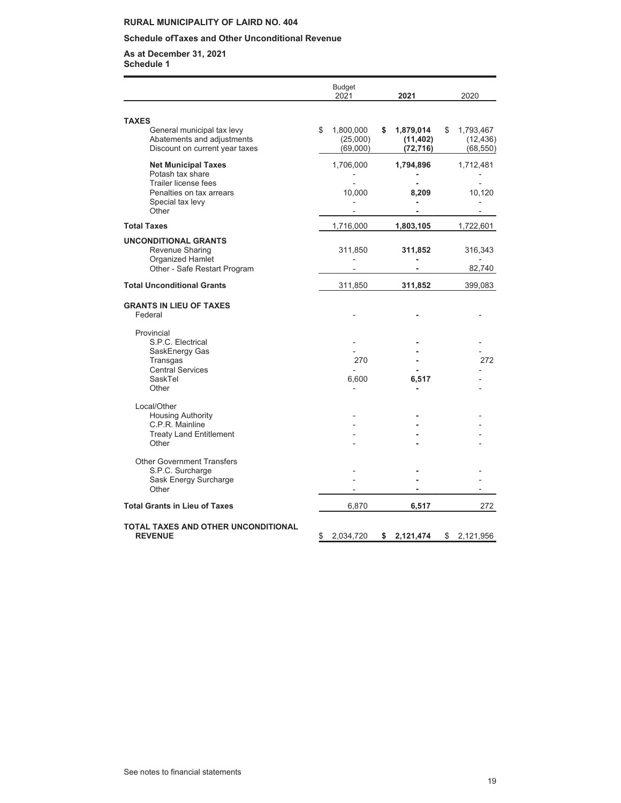## **Schedule ofTaxes and Other Unconditional Revenue**

**As at December 31, 2021 Schedule 1**

|                                                                                                                                 | <b>Budget</b><br>2021                   | 2021                                      | 2020                                      |
|---------------------------------------------------------------------------------------------------------------------------------|-----------------------------------------|-------------------------------------------|-------------------------------------------|
|                                                                                                                                 |                                         |                                           |                                           |
| <b>TAXES</b>                                                                                                                    |                                         |                                           |                                           |
| General municipal tax levy<br>Abatements and adjustments<br>Discount on current year taxes                                      | \$<br>1,800,000<br>(25,000)<br>(69,000) | \$<br>1,879,014<br>(11, 402)<br>(72, 716) | \$<br>1,793,467<br>(12, 436)<br>(68, 550) |
| <b>Net Municipal Taxes</b><br>Potash tax share<br>Trailer license fees<br>Penalties on tax arrears<br>Special tax levy<br>Other | 1,706,000<br>10,000                     | 1,794,896<br>8,209                        | 1,712,481<br>10,120                       |
| <b>Total Taxes</b>                                                                                                              | 1,716,000                               | 1,803,105                                 | 1,722,601                                 |
| <b>UNCONDITIONAL GRANTS</b><br>Revenue Sharing<br>Organized Hamlet<br>Other - Safe Restart Program                              | 311,850                                 | 311,852                                   | 316,343<br>82,740                         |
| <b>Total Unconditional Grants</b>                                                                                               | 311,850                                 | 311,852                                   | 399,083                                   |
| <b>GRANTS IN LIEU OF TAXES</b><br>Federal                                                                                       |                                         |                                           |                                           |
| Provincial<br>S.P.C. Electrical<br>SaskEnergy Gas<br>Transgas<br><b>Central Services</b><br>SaskTel<br>Other                    | 270<br>6,600                            | 6,517                                     | 272                                       |
| Local/Other<br><b>Housing Authority</b><br>C.P.R. Mainline<br><b>Treaty Land Entitlement</b><br>Other                           |                                         |                                           |                                           |
| <b>Other Government Transfers</b><br>S.P.C. Surcharge<br>Sask Energy Surcharge<br>Other                                         |                                         |                                           |                                           |
| <b>Total Grants in Lieu of Taxes</b>                                                                                            | 6,870                                   | 6,517                                     | 272                                       |
| TOTAL TAXES AND OTHER UNCONDITIONAL<br><b>REVENUE</b>                                                                           | \$<br>2,034,720                         | \$2,121,474                               | \$2,121,956                               |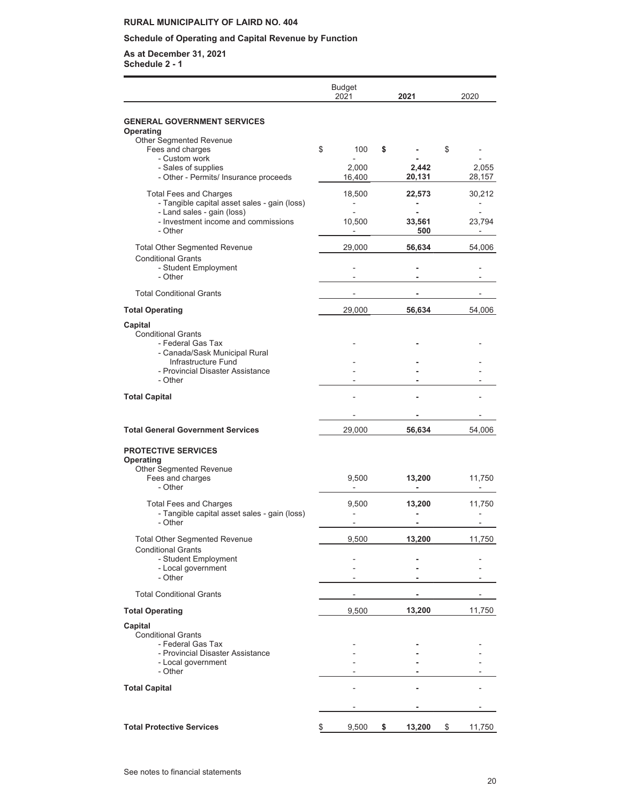# **Schedule of Operating and Capital Revenue by Function**

**As at December 31, 2021 Schedule 2 - 1**

|                                                                               | <b>Budget</b><br>2021              | 2021            | 2020                               |
|-------------------------------------------------------------------------------|------------------------------------|-----------------|------------------------------------|
| <b>GENERAL GOVERNMENT SERVICES</b><br>Operating                               |                                    |                 |                                    |
| Other Segmented Revenue                                                       |                                    |                 |                                    |
| Fees and charges                                                              | \$<br>100                          | \$              | \$                                 |
| - Custom work                                                                 |                                    |                 |                                    |
| - Sales of supplies<br>- Other - Permits/ Insurance proceeds                  | 2,000<br>16,400                    | 2,442<br>20,131 | 2,055<br>28,157                    |
| <b>Total Fees and Charges</b>                                                 | 18,500                             | 22,573          | 30,212                             |
| - Tangible capital asset sales - gain (loss)                                  | $\overline{\phantom{a}}$           |                 | $\overline{a}$                     |
| - Land sales - gain (loss)<br>- Investment income and commissions             |                                    |                 |                                    |
| - Other                                                                       | 10,500<br>$\overline{\phantom{a}}$ | 33,561<br>500   | 23,794<br>$\overline{\phantom{a}}$ |
| <b>Total Other Segmented Revenue</b>                                          | 29,000                             | 56,634          | 54,006                             |
| <b>Conditional Grants</b>                                                     |                                    |                 |                                    |
| - Student Employment                                                          |                                    |                 |                                    |
| - Other                                                                       |                                    |                 |                                    |
| <b>Total Conditional Grants</b>                                               |                                    |                 | $\overline{\phantom{a}}$           |
| <b>Total Operating</b>                                                        | 29,000                             | 56,634          | 54,006                             |
| Capital<br><b>Conditional Grants</b><br>- Federal Gas Tax                     |                                    |                 |                                    |
| - Canada/Sask Municipal Rural                                                 |                                    |                 |                                    |
| Infrastructure Fund                                                           |                                    |                 |                                    |
| - Provincial Disaster Assistance<br>- Other                                   |                                    |                 |                                    |
|                                                                               |                                    |                 |                                    |
| <b>Total Capital</b>                                                          |                                    |                 |                                    |
| <b>Total General Government Services</b>                                      | 29,000                             | 56,634          | 54,006                             |
|                                                                               |                                    |                 |                                    |
| <b>PROTECTIVE SERVICES</b>                                                    |                                    |                 |                                    |
| Operating<br>Other Segmented Revenue                                          |                                    |                 |                                    |
| Fees and charges                                                              | 9,500                              | 13,200          | 11,750                             |
| - Other                                                                       |                                    |                 |                                    |
|                                                                               |                                    |                 |                                    |
| <b>Total Fees and Charges</b><br>- Tangible capital asset sales - gain (loss) | 9,500                              | 13,200          | 11,750                             |
| - Other                                                                       | $\overline{\phantom{a}}$           | ä,              | $\overline{a}$                     |
| <b>Total Other Segmented Revenue</b>                                          | 9,500                              | 13,200          | 11,750                             |
| <b>Conditional Grants</b>                                                     |                                    |                 |                                    |
| - Student Employment                                                          |                                    |                 |                                    |
| - Local government<br>- Other                                                 |                                    |                 |                                    |
| <b>Total Conditional Grants</b>                                               |                                    |                 |                                    |
|                                                                               |                                    |                 |                                    |
| <b>Total Operating</b>                                                        | 9,500                              | 13,200          | 11,750                             |
| Capital                                                                       |                                    |                 |                                    |
| <b>Conditional Grants</b><br>- Federal Gas Tax                                |                                    |                 |                                    |
| - Provincial Disaster Assistance                                              |                                    |                 |                                    |
| - Local government                                                            |                                    |                 |                                    |
| - Other                                                                       |                                    |                 |                                    |
| <b>Total Capital</b>                                                          |                                    |                 |                                    |
|                                                                               |                                    |                 |                                    |
| <b>Total Protective Services</b>                                              | \$<br>9,500                        | \$<br>13,200    | \$<br>11,750                       |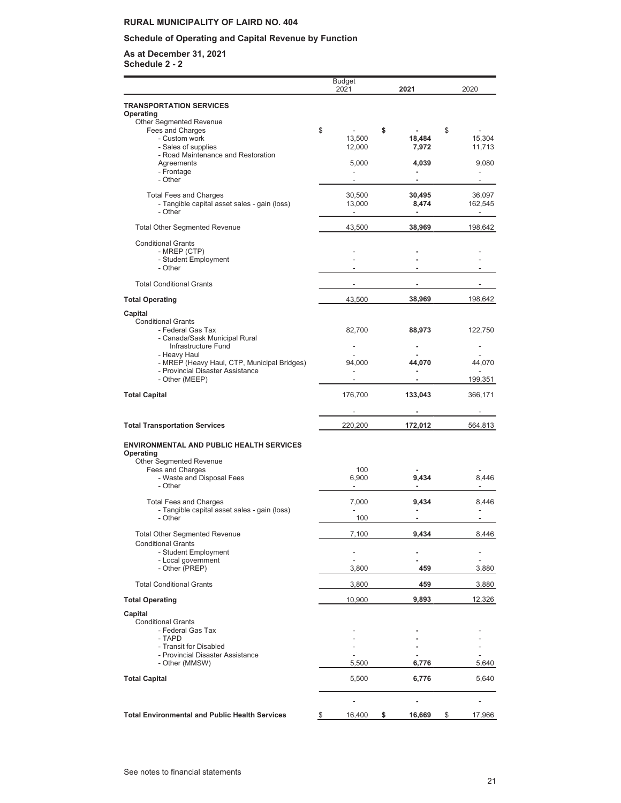# **Schedule of Operating and Capital Revenue by Function**

**As at December 31, 2021 Schedule 2 - 2**

|                                                                                          | Budget<br>2021                    | 2021                      | 2020                                          |
|------------------------------------------------------------------------------------------|-----------------------------------|---------------------------|-----------------------------------------------|
| <b>TRANSPORTATION SERVICES</b><br>Operating                                              |                                   |                           |                                               |
| Other Segmented Revenue<br>Fees and Charges<br>- Custom work                             | \$<br>13,500                      | \$<br>18,484              | \$<br>15,304                                  |
| - Sales of supplies<br>- Road Maintenance and Restoration                                | 12,000                            | 7,972                     | 11,713                                        |
| Agreements                                                                               | 5,000                             | 4,039                     | 9,080                                         |
| - Frontage<br>- Other                                                                    | $\overline{\phantom{0}}$          |                           | $\overline{\phantom{m}}$<br>$\overline{a}$    |
| <b>Total Fees and Charges</b><br>- Tangible capital asset sales - gain (loss)<br>- Other | 30,500<br>13,000<br>٠             | 30,495<br>8,474<br>$\sim$ | 36,097<br>162,545<br>$\overline{\phantom{a}}$ |
| <b>Total Other Segmented Revenue</b>                                                     | 43,500                            | 38,969                    | 198,642                                       |
| <b>Conditional Grants</b><br>- MREP (CTP)<br>- Student Employment<br>- Other             |                                   |                           |                                               |
| <b>Total Conditional Grants</b>                                                          |                                   |                           |                                               |
| <b>Total Operating</b>                                                                   | 43,500                            | 38,969                    | 198,642                                       |
| Capital                                                                                  |                                   |                           |                                               |
| <b>Conditional Grants</b><br>- Federal Gas Tax<br>- Canada/Sask Municipal Rural          | 82,700                            | 88,973                    | 122,750                                       |
| Infrastructure Fund<br>- Heavy Haul                                                      |                                   |                           |                                               |
| - MREP (Heavy Haul, CTP, Municipal Bridges)<br>- Provincial Disaster Assistance          | 94,000                            | 44,070                    | 44,070                                        |
| - Other (MEEP)                                                                           |                                   | $\blacksquare$            | 199,351                                       |
| <b>Total Capital</b>                                                                     | 176,700                           | 133,043                   | 366,171                                       |
|                                                                                          |                                   |                           | $\overline{\phantom{a}}$                      |
| <b>Total Transportation Services</b>                                                     | 220,200                           | 172,012                   | 564,813                                       |
| <b>ENVIRONMENTAL AND PUBLIC HEALTH SERVICES</b><br>Operating                             |                                   |                           |                                               |
| Other Segmented Revenue<br>Fees and Charges                                              | 100                               |                           |                                               |
| - Waste and Disposal Fees<br>- Other                                                     | 6,900<br>$\overline{\phantom{a}}$ | 9,434                     | 8,446                                         |
| <b>Total Fees and Charges</b>                                                            | 7,000                             | 9,434                     | 8.446                                         |
| - Tangible capital asset sales - gain (loss)<br>- Other                                  | 100                               | $\overline{\phantom{a}}$  | $\overline{\phantom{a}}$                      |
| <b>Total Other Segmented Revenue</b>                                                     | 7,100                             | 9,434                     | 8,446                                         |
| <b>Conditional Grants</b><br>- Student Employment                                        |                                   |                           |                                               |
| - Local government<br>- Other (PREP)                                                     | 3,800                             | 459                       | 3,880                                         |
| <b>Total Conditional Grants</b>                                                          | 3,800                             | 459                       | 3,880                                         |
| <b>Total Operating</b>                                                                   | 10,900                            | 9,893                     | 12,326                                        |
| Capital<br><b>Conditional Grants</b>                                                     |                                   |                           |                                               |
| - Federal Gas Tax<br>- TAPD                                                              |                                   |                           |                                               |
| - Transit for Disabled<br>- Provincial Disaster Assistance                               |                                   |                           |                                               |
| - Other (MMSW)                                                                           | 5,500                             | 6,776                     | 5,640                                         |
| <b>Total Capital</b>                                                                     | 5,500                             | 6,776                     | 5,640                                         |
|                                                                                          |                                   |                           |                                               |
| <b>Total Environmental and Public Health Services</b>                                    | \$<br>16,400                      | \$<br>16,669              | \$<br>17,966                                  |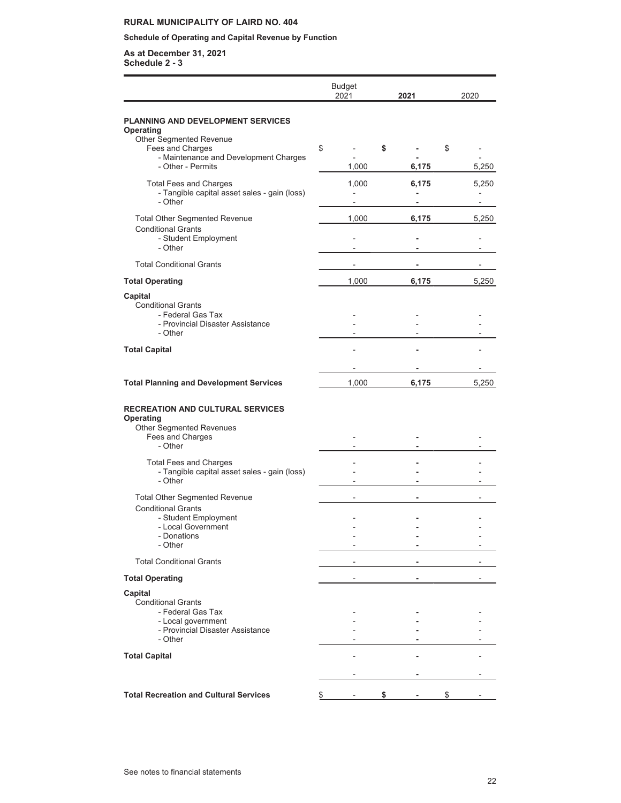**Schedule of Operating and Capital Revenue by Function**

#### **As at December 31, 2021 Schedule 2 - 3**

|                                                                                                                        | <b>Budget</b><br>2021 |    | 2021  | 2020           |
|------------------------------------------------------------------------------------------------------------------------|-----------------------|----|-------|----------------|
| <b>PLANNING AND DEVELOPMENT SERVICES</b>                                                                               |                       |    |       |                |
| Operating                                                                                                              |                       |    |       |                |
| Other Segmented Revenue                                                                                                |                       |    |       |                |
| Fees and Charges<br>- Maintenance and Development Charges                                                              | \$                    | \$ |       | \$             |
| - Other - Permits                                                                                                      | 1,000                 |    | 6,175 | 5,250          |
| <b>Total Fees and Charges</b>                                                                                          | 1,000                 |    | 6,175 | 5,250          |
| - Tangible capital asset sales - gain (loss)<br>- Other                                                                |                       |    |       | $\overline{a}$ |
| <b>Total Other Segmented Revenue</b>                                                                                   | 1,000                 |    | 6,175 | 5,250          |
| <b>Conditional Grants</b>                                                                                              |                       |    |       |                |
| - Student Employment<br>- Other                                                                                        |                       |    |       |                |
|                                                                                                                        |                       |    |       |                |
| <b>Total Conditional Grants</b>                                                                                        |                       |    |       |                |
| <b>Total Operating</b>                                                                                                 | 1,000                 |    | 6,175 | 5,250          |
| Capital                                                                                                                |                       |    |       |                |
| <b>Conditional Grants</b><br>- Federal Gas Tax                                                                         |                       |    |       |                |
| - Provincial Disaster Assistance                                                                                       |                       |    |       |                |
| - Other                                                                                                                |                       |    |       |                |
| <b>Total Capital</b>                                                                                                   |                       |    |       |                |
|                                                                                                                        |                       |    |       |                |
| <b>Total Planning and Development Services</b>                                                                         | 1,000                 |    | 6,175 | 5,250          |
| <b>RECREATION AND CULTURAL SERVICES</b><br>Operating<br><b>Other Segmented Revenues</b><br>Fees and Charges<br>- Other |                       |    |       |                |
| <b>Total Fees and Charges</b>                                                                                          |                       |    |       |                |
| - Tangible capital asset sales - gain (loss)                                                                           |                       |    |       |                |
| - Other                                                                                                                |                       |    |       |                |
| <b>Total Other Segmented Revenue</b>                                                                                   |                       |    |       |                |
| <b>Conditional Grants</b>                                                                                              |                       |    |       |                |
| - Student Employment<br>- Local Government                                                                             |                       |    |       |                |
| - Donations                                                                                                            |                       |    |       |                |
| - Other                                                                                                                |                       |    |       |                |
| <b>Total Conditional Grants</b>                                                                                        |                       |    |       |                |
| <b>Total Operating</b>                                                                                                 |                       |    |       |                |
| Capital<br><b>Conditional Grants</b><br>- Federal Gas Tax                                                              |                       |    |       |                |
| - Local government                                                                                                     |                       |    |       |                |
| - Provincial Disaster Assistance<br>- Other                                                                            |                       |    |       |                |
|                                                                                                                        |                       |    |       |                |
| <b>Total Capital</b>                                                                                                   |                       |    |       |                |
|                                                                                                                        |                       |    |       |                |
| <b>Total Recreation and Cultural Services</b>                                                                          | \$                    | S  |       | \$             |
|                                                                                                                        |                       |    |       |                |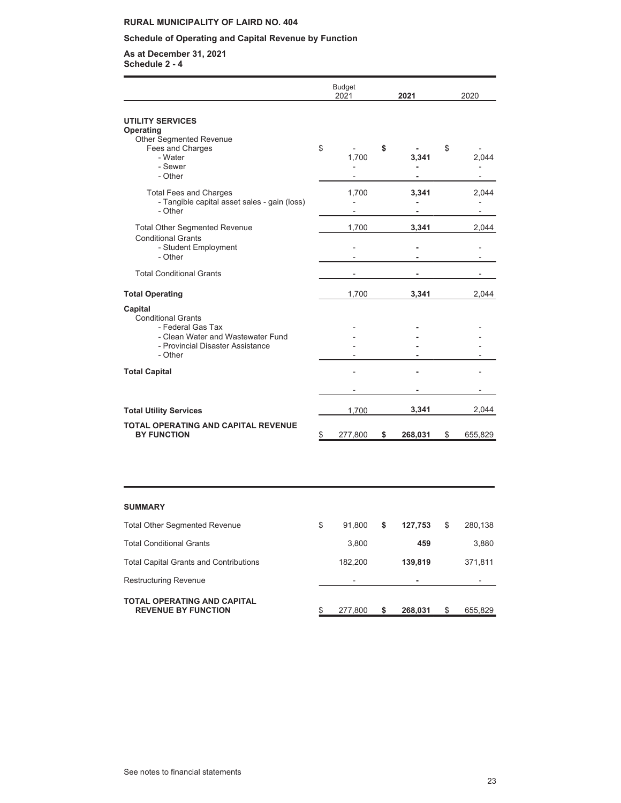# **Schedule of Operating and Capital Revenue by Function**

**As at December 31, 2021 Schedule 2 - 4**

|                                                                                                                                               | <b>Budget</b><br>2021                           | 2021                                    | 2020                  |
|-----------------------------------------------------------------------------------------------------------------------------------------------|-------------------------------------------------|-----------------------------------------|-----------------------|
| <b>UTILITY SERVICES</b><br><b>Operating</b><br>Other Segmented Revenue<br>Fees and Charges<br>- Water<br>- Sewer<br>- Other                   | \$<br>1,700<br>$\overline{a}$<br>$\overline{a}$ | \$<br>3,341<br>$\overline{\phantom{a}}$ | \$<br>2,044<br>÷<br>L |
| <b>Total Fees and Charges</b><br>- Tangible capital asset sales - gain (loss)<br>- Other                                                      | 1,700<br>$\overline{a}$                         | 3,341                                   | 2,044                 |
| <b>Total Other Segmented Revenue</b><br><b>Conditional Grants</b><br>- Student Employment<br>- Other                                          | 1,700<br>$\overline{a}$<br>$\overline{a}$       | 3,341<br>J.                             | 2,044                 |
| <b>Total Conditional Grants</b>                                                                                                               |                                                 |                                         |                       |
| <b>Total Operating</b>                                                                                                                        | 1,700                                           | 3,341                                   | 2.044                 |
| Capital<br><b>Conditional Grants</b><br>- Federal Gas Tax<br>- Clean Water and Wastewater Fund<br>- Provincial Disaster Assistance<br>- Other |                                                 |                                         |                       |
| <b>Total Capital</b>                                                                                                                          |                                                 |                                         |                       |
|                                                                                                                                               |                                                 |                                         |                       |
| <b>Total Utility Services</b>                                                                                                                 | 1,700                                           | 3,341                                   | 2,044                 |
| <b>TOTAL OPERATING AND CAPITAL REVENUE</b><br><b>BY FUNCTION</b>                                                                              | \$<br>277,800                                   | \$<br>268,031                           | \$<br>655,829         |
|                                                                                                                                               |                                                 |                                         |                       |
| <b>SUMMARY</b>                                                                                                                                |                                                 |                                         |                       |
| <b>Total Other Segmented Revenue</b>                                                                                                          | \$<br>91,800                                    | \$<br>127,753                           | \$<br>280,138         |
| <b>Total Conditional Grants</b>                                                                                                               | 3,800                                           | 459                                     | 3,880                 |
| <b>Total Capital Grants and Contributions</b>                                                                                                 | 182,200                                         | 139,819                                 | 371,811               |

**TOTAL OPERATING AND CAPITAL REVENUE BY FUNCTION** \$ 277,800 **\$ 268,031** \$ 655,829

Restructuring Revenue - **-** -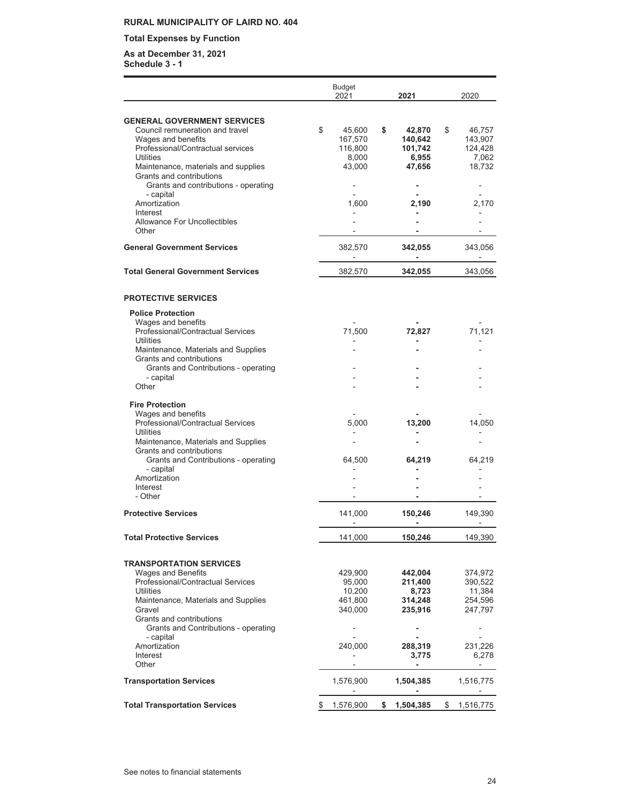**Total Expenses by Function**

#### **As at December 31, 2021 Schedule 3 - 1**

|                                                                  |    | <b>Budget</b><br>2021        | 2021             | 2020                         |
|------------------------------------------------------------------|----|------------------------------|------------------|------------------------------|
| <b>GENERAL GOVERNMENT SERVICES</b>                               |    |                              |                  |                              |
| Council remuneration and travel                                  | \$ | 45,600                       | \$<br>42,870     | \$<br>46,757                 |
| Wages and benefits                                               |    | 167,570                      | 140,642          | 143,907                      |
| Professional/Contractual services                                |    | 116,800                      | 101,742          | 124,428                      |
| <b>Utilities</b>                                                 |    | 8,000                        | 6,955            | 7,062                        |
| Maintenance, materials and supplies                              |    | 43,000                       | 47,656           | 18,732                       |
| Grants and contributions                                         |    |                              |                  |                              |
| Grants and contributions - operating<br>- capital                |    |                              |                  |                              |
| Amortization                                                     |    | 1,600                        | 2,190            | 2.170                        |
| Interest                                                         |    |                              |                  |                              |
| <b>Allowance For Uncollectibles</b>                              |    |                              |                  |                              |
| Other                                                            |    |                              |                  |                              |
| <b>General Government Services</b>                               |    | 382,570                      | 342,055          | 343,056                      |
|                                                                  |    | $\sim$                       | $\blacksquare$   | $\qquad \qquad \blacksquare$ |
| <b>Total General Government Services</b>                         |    | 382,570                      | 342,055          | 343,056                      |
| <b>PROTECTIVE SERVICES</b>                                       |    |                              |                  |                              |
| <b>Police Protection</b>                                         |    |                              |                  |                              |
| Wages and benefits                                               |    |                              |                  |                              |
| Professional/Contractual Services                                |    | 71,500                       | 72,827           | 71,121                       |
| <b>Utilities</b>                                                 |    |                              |                  |                              |
| Maintenance, Materials and Supplies                              |    |                              |                  |                              |
| Grants and contributions<br>Grants and Contributions - operating |    |                              |                  |                              |
| - capital                                                        |    |                              |                  |                              |
| Other                                                            |    |                              |                  |                              |
|                                                                  |    |                              |                  |                              |
| <b>Fire Protection</b>                                           |    |                              |                  |                              |
| Wages and benefits                                               |    |                              |                  |                              |
| Professional/Contractual Services                                |    | 5,000                        | 13,200           | 14,050                       |
| Utilities                                                        |    |                              |                  |                              |
| Maintenance, Materials and Supplies<br>Grants and contributions  |    |                              |                  |                              |
| Grants and Contributions - operating                             |    | 64,500                       | 64,219           | 64,219                       |
| - capital                                                        |    |                              |                  |                              |
| Amortization                                                     |    |                              |                  |                              |
| Interest                                                         |    |                              |                  |                              |
| - Other                                                          |    |                              |                  |                              |
| <b>Protective Services</b>                                       |    | 141,000                      | 150,246          | 149,390                      |
|                                                                  |    | $\sim$                       | . .              |                              |
| <b>Total Protective Services</b>                                 |    | 141,000                      | 150,246          | 149,390                      |
|                                                                  |    |                              |                  |                              |
| <b>TRANSPORTATION SERVICES</b>                                   |    |                              |                  |                              |
| Wages and Benefits<br>Professional/Contractual Services          |    | 429,900                      | 442,004          | 374,972                      |
| <b>Utilities</b>                                                 |    | 95,000<br>10,200             | 211,400<br>8,723 | 390,522<br>11,384            |
| Maintenance, Materials and Supplies                              |    | 461,800                      | 314,248          | 254,596                      |
| Gravel                                                           |    | 340,000                      | 235,916          | 247,797                      |
| Grants and contributions                                         |    |                              |                  |                              |
| Grants and Contributions - operating                             |    | $\qquad \qquad \blacksquare$ | ٠                |                              |
| - capital                                                        |    |                              | ٠                | $\overline{a}$               |
| Amortization                                                     |    | 240,000                      | 288,319          | 231,226                      |
| Interest                                                         |    |                              | 3,775            | 6,278                        |
| Other                                                            |    | $\overline{a}$               | ٠                | $\overline{\phantom{0}}$     |
| <b>Transportation Services</b>                                   |    | 1,576,900                    | 1,504,385        | 1,516,775                    |
|                                                                  |    |                              |                  |                              |
| <b>Total Transportation Services</b>                             | S. | 1,576,900                    | \$<br>1,504,385  | \$<br>1,516,775              |
|                                                                  |    |                              |                  |                              |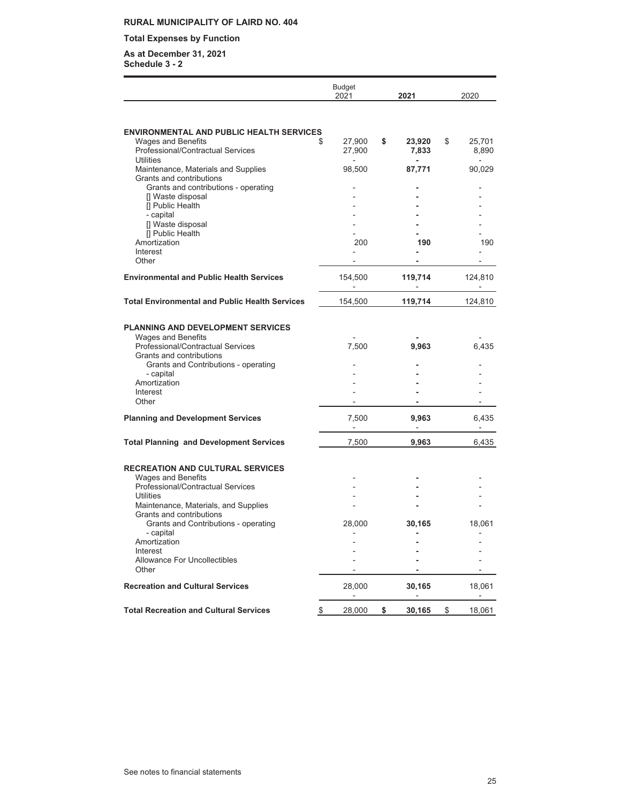# **Total Expenses by Function**

#### **As at December 31, 2021 Schedule 3 - 2**

|                                                                                                                  | Budget<br>2021                    | 2021                              | 2020                              |
|------------------------------------------------------------------------------------------------------------------|-----------------------------------|-----------------------------------|-----------------------------------|
|                                                                                                                  |                                   |                                   |                                   |
| <b>ENVIRONMENTAL AND PUBLIC HEALTH SERVICES</b><br>Wages and Benefits<br>\$<br>Professional/Contractual Services | 27,900<br>27,900                  | \$<br>23,920<br>7,833             | \$<br>25,701<br>8,890             |
| <b>Utilities</b><br>Maintenance, Materials and Supplies                                                          | 98,500                            | 87,771                            | 90,029                            |
| Grants and contributions                                                                                         |                                   |                                   |                                   |
| Grants and contributions - operating<br>[] Waste disposal                                                        |                                   |                                   |                                   |
| [] Public Health                                                                                                 |                                   |                                   |                                   |
| - capital<br>[] Waste disposal                                                                                   |                                   |                                   |                                   |
| [] Public Health                                                                                                 |                                   |                                   |                                   |
| Amortization<br>Interest                                                                                         | 200<br>$\overline{\phantom{a}}$   | 190                               | 190                               |
| Other                                                                                                            |                                   |                                   |                                   |
| <b>Environmental and Public Health Services</b>                                                                  | 154,500                           | 119,714                           | 124,810                           |
| <b>Total Environmental and Public Health Services</b>                                                            | 154,500                           | 119,714                           | 124,810                           |
| <b>PLANNING AND DEVELOPMENT SERVICES</b>                                                                         |                                   |                                   |                                   |
| <b>Wages and Benefits</b>                                                                                        |                                   |                                   |                                   |
| Professional/Contractual Services<br>Grants and contributions                                                    | 7,500                             | 9,963                             | 6,435                             |
| Grants and Contributions - operating                                                                             |                                   |                                   |                                   |
| - capital                                                                                                        |                                   |                                   |                                   |
| Amortization<br>Interest                                                                                         |                                   |                                   |                                   |
| Other                                                                                                            |                                   |                                   |                                   |
| <b>Planning and Development Services</b>                                                                         | 7,500<br>$\overline{\phantom{a}}$ | 9,963<br>$\overline{\phantom{a}}$ | 6,435<br>$\overline{\phantom{0}}$ |
| <b>Total Planning and Development Services</b>                                                                   | 7,500                             | 9,963                             | 6,435                             |
| <b>RECREATION AND CULTURAL SERVICES</b>                                                                          |                                   |                                   |                                   |
| <b>Wages and Benefits</b><br>Professional/Contractual Services                                                   |                                   |                                   |                                   |
| Utilities                                                                                                        |                                   |                                   |                                   |
| Maintenance, Materials, and Supplies<br>Grants and contributions                                                 |                                   |                                   |                                   |
| Grants and Contributions - operating<br>- capital                                                                | 28,000                            | 30,165                            | 18,061                            |
| Amortization                                                                                                     |                                   |                                   |                                   |
| Interest<br><b>Allowance For Uncollectibles</b>                                                                  |                                   |                                   |                                   |
| Other                                                                                                            |                                   |                                   |                                   |
| <b>Recreation and Cultural Services</b>                                                                          | 28,000                            | 30,165                            | 18,061<br>٠                       |
| <b>Total Recreation and Cultural Services</b><br>\$                                                              | 28,000                            | \$<br>30,165                      | \$<br>18,061                      |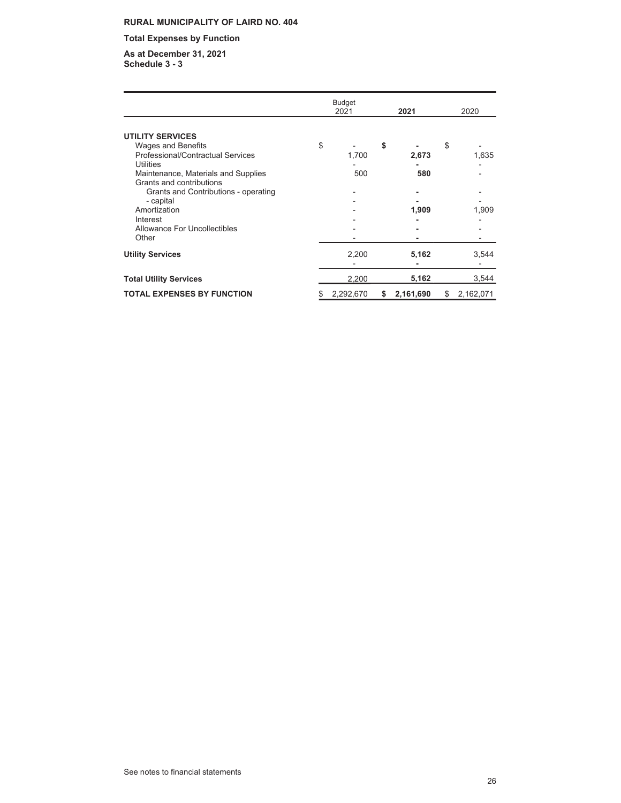# **Total Expenses by Function**

**As at December 31, 2021 Schedule 3 - 3**

|                                                                                                                                                                                                                                                                                                          |    | <b>Budget</b><br>2021 |    | 2021                  | 2020                 |
|----------------------------------------------------------------------------------------------------------------------------------------------------------------------------------------------------------------------------------------------------------------------------------------------------------|----|-----------------------|----|-----------------------|----------------------|
| <b>UTILITY SERVICES</b><br><b>Wages and Benefits</b><br><b>Professional/Contractual Services</b><br><b>Utilities</b><br>Maintenance, Materials and Supplies<br>Grants and contributions<br>Grants and Contributions - operating<br>- capital<br>Amortization<br>Interest<br>Allowance For Uncollectibles | \$ | 1,700<br>500          | \$ | 2,673<br>580<br>1,909 | \$<br>1,635<br>1,909 |
| Other<br><b>Utility Services</b><br><b>Total Utility Services</b>                                                                                                                                                                                                                                        |    | 2,200<br>2,200        |    | 5,162<br>5,162        | 3,544<br>3,544       |
| <b>TOTAL EXPENSES BY FUNCTION</b>                                                                                                                                                                                                                                                                        | S  | 2,292,670             | S  | 2,161,690             | \$<br>2,162,071      |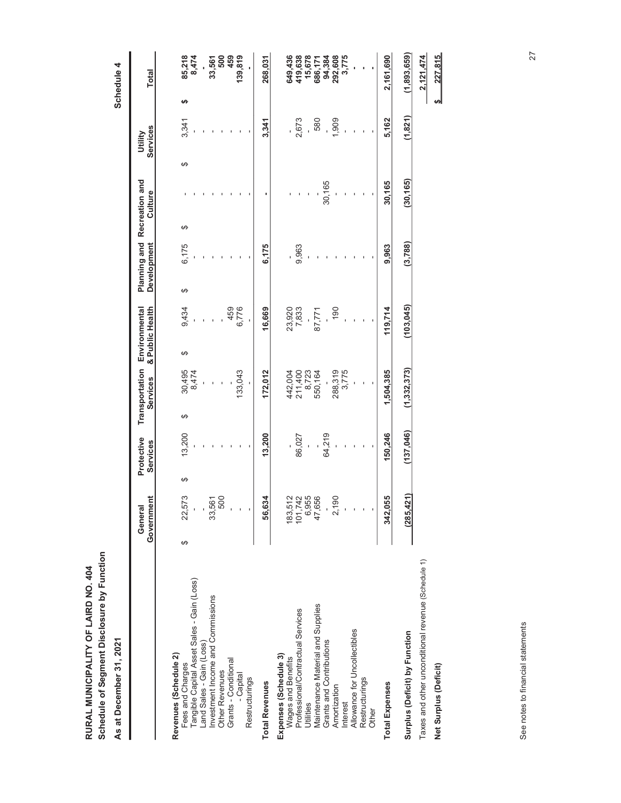| Schedule of Segment Disclosure by Function<br>RURAL MUNICIPALITY OF LAIRD NO. 404<br>As at December 31, 2021                                                                                                                      |                                             |                        |                                 |                                                 |             |                                        |                     | Schedule 4                       |                     |
|-----------------------------------------------------------------------------------------------------------------------------------------------------------------------------------------------------------------------------------|---------------------------------------------|------------------------|---------------------------------|-------------------------------------------------|-------------|----------------------------------------|---------------------|----------------------------------|---------------------|
|                                                                                                                                                                                                                                   | Government<br>General                       | Protective<br>Services | Services                        | & Public Health<br>Transportation Environmental | Development | Planning and Recreation and<br>Culture | Services<br>Utility | <b>Total</b>                     |                     |
| Tangible Capital Asset Sales - Gain (Loss)<br>Investment Income and Commissions<br>Land Sales - Gain (Loss)<br>Revenues (Schedule 2)<br>Grants - Conditional<br>Fees and Charges<br>Other Revenues<br>- Capital<br>Restructurings | 22,573<br>500<br>33,561<br>ł<br>ı<br>I<br>↮ | 13,200<br>↔            | 30,495<br>133,043<br>8,474<br>↮ | 459<br>6,776<br>9,434<br>↮                      | 6,175<br>↮  | ↔                                      | 3,341<br>↮          | 85,218<br>139,819<br>33,561<br>↮ | 8,474<br>500<br>459 |
| <b>Total Revenues</b>                                                                                                                                                                                                             | 56,634                                      | 13,200                 | 172,012                         | 16,669                                          | 6,175       | I,                                     | 3.341               | 268,031                          |                     |
| Expenses (Schedule 3)<br>Wages and Benefits                                                                                                                                                                                       |                                             |                        |                                 |                                                 |             |                                        |                     | 649,436                          |                     |
| Professional/Contractual Services<br>Utilities                                                                                                                                                                                    | 183,512<br>101,742<br>6,955<br>47,656       | 86,027                 | 442,004<br>211,400<br>8,723     | 23,920<br>7,833                                 | 9,963       |                                        | 2,673<br>l,         | 419,638<br>15,678                |                     |
| Maintenance Material and Supplies                                                                                                                                                                                                 |                                             |                        | 550,164                         | 87,771                                          |             |                                        | 580                 | 686,171                          |                     |
| Grants and Contributions<br>Amortization                                                                                                                                                                                          | 90<br>$\mathbf{I}$<br>$\overline{2,1}$      | 64,219                 | 288,319                         | 190                                             |             | 30,165                                 | 1,909               | 94,384<br>292,608                |                     |
| Interest                                                                                                                                                                                                                          | ı                                           |                        | 3,775                           |                                                 |             |                                        |                     |                                  | 3,775               |
| Allowance for Uncollectibles<br>Restructurings                                                                                                                                                                                    | $\bar{t}$<br>ı                              |                        |                                 |                                                 |             | ı<br>$\blacksquare$                    |                     |                                  |                     |
| Other                                                                                                                                                                                                                             |                                             |                        |                                 |                                                 |             |                                        |                     |                                  |                     |
| <b>Total Expenses</b>                                                                                                                                                                                                             | 55<br>342,0                                 | 150,246                | 1,504,385                       | 119,714                                         | 9,963       | 30,165                                 | 5,162               | 2,161,690                        |                     |
| Surplus (Deficit) by Function                                                                                                                                                                                                     | 121<br>(285.4                               | (137, 046)             | (1,332,373)                     | (103, 045)                                      | (3,788)     | (30, 165)                              | (1, 821)            | (1,893,659)                      |                     |
| Taxes and other unconditional revenue (Schedule 1)<br>Net Surplus (Deficit)                                                                                                                                                       |                                             |                        |                                 |                                                 |             |                                        |                     | 2,121,474<br>227.815<br>ക        |                     |

See notes to financial statements See notes to financial statements

27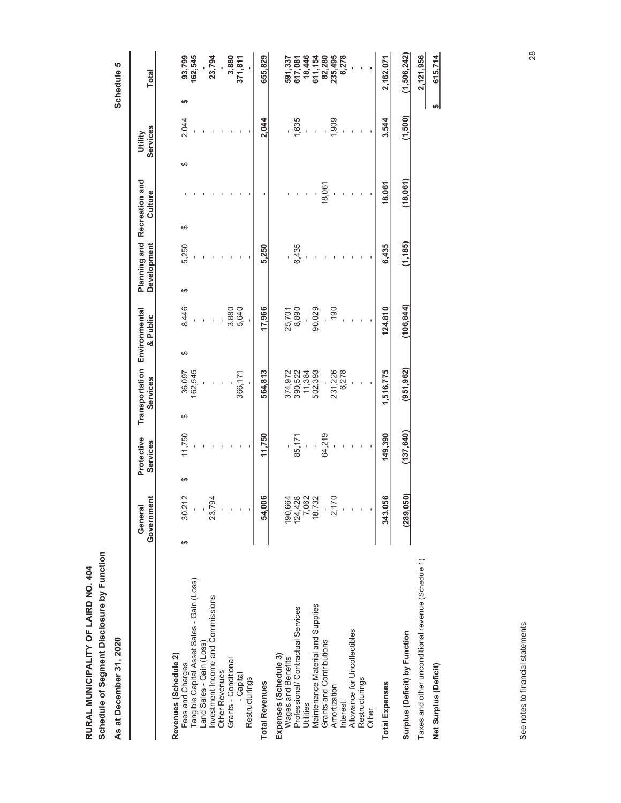| Schedule of Segment Disclosure by Function<br>RURAL MUNICIPALITY OF LAIRD NO. 404<br>As at December 31, 2020 |                                   |                        |                        |                                          |             |                                        |                     | Schedule 5                   |
|--------------------------------------------------------------------------------------------------------------|-----------------------------------|------------------------|------------------------|------------------------------------------|-------------|----------------------------------------|---------------------|------------------------------|
|                                                                                                              | Government<br>General             | Protective<br>Services | Services               | Transportation Environmental<br>& Public | Development | Planning and Recreation and<br>Culture | Services<br>Utility | <b>Total</b>                 |
| Tangible Capital Asset Sales - Gain (Loss)<br>Revenues (Schedule 2)<br>Fees and Charges                      | 30,212<br>↔                       | 11,750<br>↔            | 162,545<br>36,097<br>↔ | 8,446<br>↔                               | 5,250<br>↔  | ↔                                      | 2,044<br>$\varphi$  | 93,799<br>162,545<br>ക       |
| Investment Income and Commissions<br>Land Sales - Gain (Loss)                                                | 94<br>23,7                        |                        |                        |                                          |             |                                        |                     | 23,794                       |
| Grants - Conditional<br>Other Revenues<br>- Capital<br>Restructurings                                        | ı                                 |                        | 366,171                | 3,880<br>5,640                           |             |                                        |                     | 3,880<br>371,811             |
| <b>Total Revenues</b>                                                                                        | 54,006                            | 11,750                 | 564,813                | 17,966                                   | 5,250       |                                        | 2,044               | 655,829                      |
| Expenses (Schedule 3)<br>Wages and Benefits                                                                  | 190,664                           |                        | 374,972                |                                          |             |                                        |                     |                              |
| Professional/Contractual Services<br>Utilities                                                               | 124,428<br>7,062<br>18,732        | 85,171                 | 390,522<br>11,384      | 25,701<br>8,890                          | 6,435       |                                        | 1,635               | 18,446<br>591,337<br>617,081 |
| Maintenance Material and Supplies                                                                            |                                   |                        | 502,393                | 90,029                                   |             |                                        |                     | 611,154                      |
| Grants and Contributions<br>Amortization                                                                     | 2,170<br>$\overline{\phantom{a}}$ | 64,219                 | 231,226                | 190                                      |             | 18,061                                 | 1,909               | 235,495<br>82,280            |
| Interest                                                                                                     | $\mathbf{I}$                      |                        | 6,278                  |                                          |             |                                        |                     | 6,278                        |
| Allowance for Uncollectibles<br>Restructurings<br>Other                                                      | $\mathbf{I}$                      |                        |                        |                                          |             |                                        |                     |                              |
| <b>Total Expenses</b>                                                                                        | 56<br>343,0                       | 149,390                | 1,516,775              | 124,810                                  | 6,435       | 18,061                                 | 3,544               | 2,162,071                    |
| Surplus (Deficit) by Function                                                                                | 50<br>(289, 0                     | (137, 640)             | (951, 962)             | (106, 844)                               | (1, 185)    | (18,061)                               | (1,500)             | (1,506,242)                  |
| Taxes and other unconditional revenue (Schedule 1)<br>Net Surplus (Deficit)                                  |                                   |                        |                        |                                          |             |                                        |                     | 2,121,956<br>615.714         |
|                                                                                                              |                                   |                        |                        |                                          |             |                                        |                     |                              |

See notes to financial statements See notes to financial statements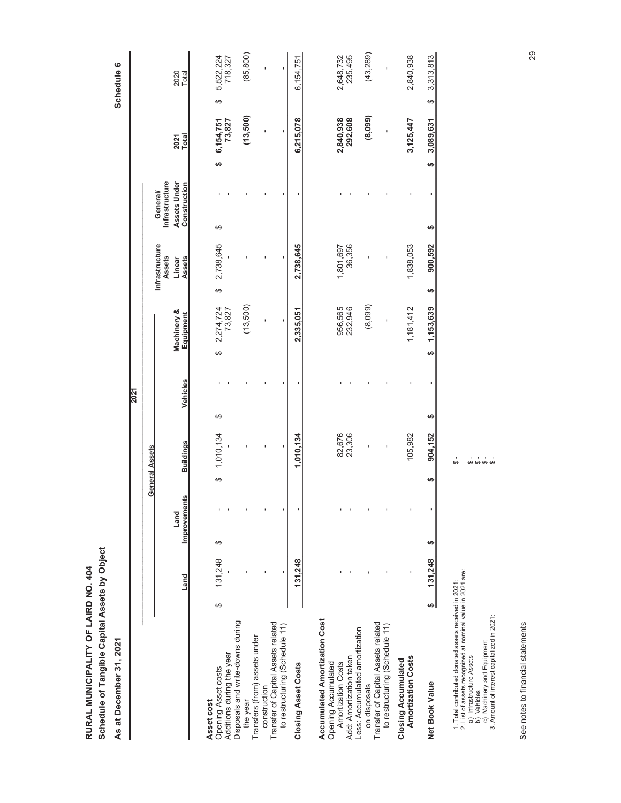| 404<br>ر<br>م                            | <b>Assets by Objo</b>                  |
|------------------------------------------|----------------------------------------|
| <b>IICIPALITY OF LAIRD</b><br><b>NUN</b> | Z<br><b>Capita</b><br>ě<br>of Tangible |
| URAI                                     | خ<br>1<br>hedu.                        |

**As at December 31, 2021 Schedule 6** As at December 31, 2021

Schedule 6

**2021**

|                                                                                                                     |   |         |                             |    | <b>General Assets</b> |          |                          |                          |                              |                        |                      |
|---------------------------------------------------------------------------------------------------------------------|---|---------|-----------------------------|----|-----------------------|----------|--------------------------|--------------------------|------------------------------|------------------------|----------------------|
|                                                                                                                     |   |         |                             |    |                       |          |                          | Infrastructure<br>Assets | Infrastructure<br>General    |                        |                      |
|                                                                                                                     |   | Land    | <b>Improvements</b><br>Land |    | <b>Buildings</b>      | Vehicles | Machinery &<br>Equipment | Assets<br>Linear         | Assets Under<br>Construction | Total<br>2021          | 2020<br>Total        |
|                                                                                                                     |   |         |                             |    |                       |          |                          |                          |                              |                        |                      |
| Asset cost                                                                                                          | ↔ | 131,248 | ↔                           | ↔  | 1,010,134             | ↔        | ↔                        | 2,738,645<br>↔           | ↔                            | မာ                     | ↔                    |
| Additions during the year<br>Opening Asset costs                                                                    |   |         | ı<br>ı                      |    |                       |          | 2,274,724<br>73,827      |                          |                              | 6, 154, 751<br>73, 827 | 5,522,224<br>718,327 |
| Disposals and write-downs during                                                                                    |   |         |                             |    |                       |          |                          |                          |                              |                        |                      |
| Transfers (from) assets under<br>the year                                                                           |   |         |                             |    |                       |          | (13,500)                 |                          |                              | (13,500)               | (85, 800)            |
| construction                                                                                                        |   |         |                             |    |                       |          |                          |                          |                              |                        |                      |
| Transfer of Capital Assets related<br>to restructuring (Schedule 11)                                                |   |         |                             |    |                       |          | I                        |                          |                              | ı                      |                      |
| <b>Closing Asset Costs</b>                                                                                          |   | 131,248 |                             |    | 1,010,134             |          | 2,335,051                | 2,738,645                |                              | 6,215,078              | 6,154,751            |
| <b>Accumulated Amortization Cost</b>                                                                                |   |         |                             |    |                       |          |                          |                          |                              |                        |                      |
| Opening Accumulated                                                                                                 |   |         |                             |    |                       |          |                          |                          |                              |                        |                      |
| Amortization Costs                                                                                                  |   |         | ı,                          |    |                       |          |                          |                          |                              |                        |                      |
| Add: Amortization taken                                                                                             |   |         | $\overline{1}$              |    | 82,676<br>23,306      |          | 956,565<br>232,946       | 1,801,697<br>36,356      |                              | 2,840,938<br>292,608   | 2,648,732<br>235,495 |
| Less: Accumulated amortization                                                                                      |   |         |                             |    |                       |          |                          |                          |                              |                        |                      |
| on disposals                                                                                                        |   |         | 1                           |    | ı                     |          | (8,099)                  |                          |                              | (8,099)                | (43, 289)            |
| Transfer of Capital Assets related<br>to restructuring (Schedule 11)                                                |   |         | 1                           |    |                       | ı        | ı                        |                          |                              | ı                      |                      |
| <b>Closing Accumulated</b>                                                                                          |   |         |                             |    |                       |          |                          |                          |                              |                        |                      |
| <b>Amortization Costs</b>                                                                                           |   |         |                             |    | 105,982               | ı        | 1,181,412                | 1,838,053                |                              | 3,125,447              | 2,840,938            |
| Net Book Value                                                                                                      | ക | 131,248 | ക                           | မာ | 904,152               | ↮        | 1,153,639<br>↮           | 900,592<br>မာ            | ↮                            | 3,089,631<br>↮         | 3,313,813<br>↔       |
|                                                                                                                     |   |         |                             |    |                       |          |                          |                          |                              |                        |                      |
| 2. List of assets recognized at nominal value in 2021 are:<br>1. Total contributed donated assets received in 2021: |   |         |                             |    | ı<br>↔                |          |                          |                          |                              |                        |                      |
| a) Infrastructure Assets<br>b) Vehicles                                                                             |   |         |                             |    | ↔                     |          |                          |                          |                              |                        |                      |
| c) Machinery and Equipment                                                                                          |   |         |                             |    | $\,$<br>↔             |          |                          |                          |                              |                        |                      |
| 3. Amount of interest capitalized in 2021:                                                                          |   |         |                             |    | ္ပ်                   |          |                          |                          |                              |                        |                      |

See notes to financial statements See notes to financial statements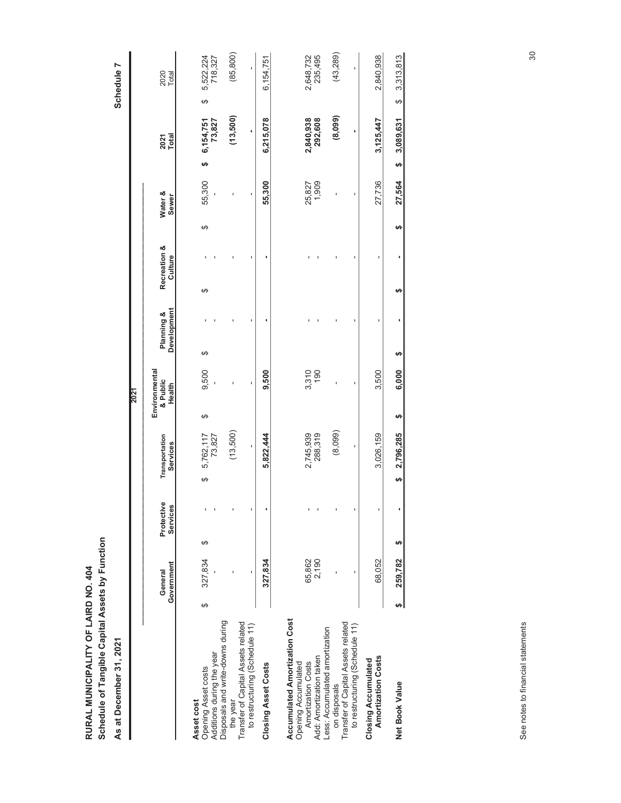| MUNICIPALITY OF LAIRD NO. 404 | Assets by Fund<br>e of Tangible Capita |
|-------------------------------|----------------------------------------|
|                               | <b>Rchedulu</b>                        |

**As at December 31, 2021 Schedule 7** As at December 31, 2021

**2021**

Schedule 7

|                                                                                      |   | Government<br>General |   | Protective<br>Services |   | Transportation<br>Services |   | Environmental<br>& Public<br>Health |   | Development<br>Planning & | Recreation &<br>Culture |   |   | Water &<br>Sewer | 2021<br>Total                |          | 2020<br>Total        |
|--------------------------------------------------------------------------------------|---|-----------------------|---|------------------------|---|----------------------------|---|-------------------------------------|---|---------------------------|-------------------------|---|---|------------------|------------------------------|----------|----------------------|
| Additions during the year<br>Opening Asset costs<br>Asset cost                       | ↔ | 327,834               | ↔ |                        | ↮ | 73,827<br>5,762,117        | ↔ | 9,500                               | ↔ |                           | ↔                       |   | ↔ | 55,300           | 6, 154, 751<br>73, 827<br>မာ | ↔        | 718,327<br>5,522,224 |
| Disposals and write-downs during<br>Transfer of Capital Assets related<br>the year   |   |                       |   |                        |   | (13,500)                   |   |                                     |   |                           |                         |   |   |                  | (13,500)                     |          | (85, 800)            |
| to restructuring (Schedule 11)<br><b>Closing Asset Costs</b>                         |   | 327,834               |   |                        |   | 5,822,444                  |   | 9,500                               |   |                           |                         |   |   | 55,300<br>ı      | 6,215,078<br>ı               |          | 6.154.751<br>ı       |
| <b>Accumulated Amortization Cost</b><br>Amortization Costs<br>Opening Accumulated    |   | 65,862                |   |                        |   | 2,745,939                  |   | 3,310                               |   |                           |                         |   |   | 25,827           |                              |          | 2,648,732            |
| Add: Amortization taken                                                              |   | 2,190                 |   |                        |   | 288,319                    |   | 190                                 |   |                           |                         |   |   | 1,909            | 2,840,938<br>292,608         |          | 235,495              |
| Transfer of Capital Assets related<br>Less: Accumulated amortization<br>on disposals |   |                       |   |                        |   | (8,099)                    |   |                                     |   |                           |                         |   |   |                  | (8,099)                      |          | (43, 289)            |
| to restructuring (Schedule 11)                                                       |   |                       |   |                        |   |                            |   |                                     |   |                           |                         |   |   |                  | ı                            |          |                      |
| <b>Amortization Costs</b><br><b>Closing Accumulated</b>                              |   | 68,052                |   |                        |   | 3,026,159                  |   | 3,500                               |   | ı                         |                         | ı |   | 27,736           | 3,125,447                    |          | 2,840,938            |
| Net Book Value                                                                       | ↮ | 259,782               | ക |                        | ₩ | 2,796,285                  | ↮ | 6,000                               | Ø |                           | မာ                      |   | ക | 27,564           | \$3,089,631                  | $\theta$ | 3,313,813            |

See notes to financial statements See notes to financial statements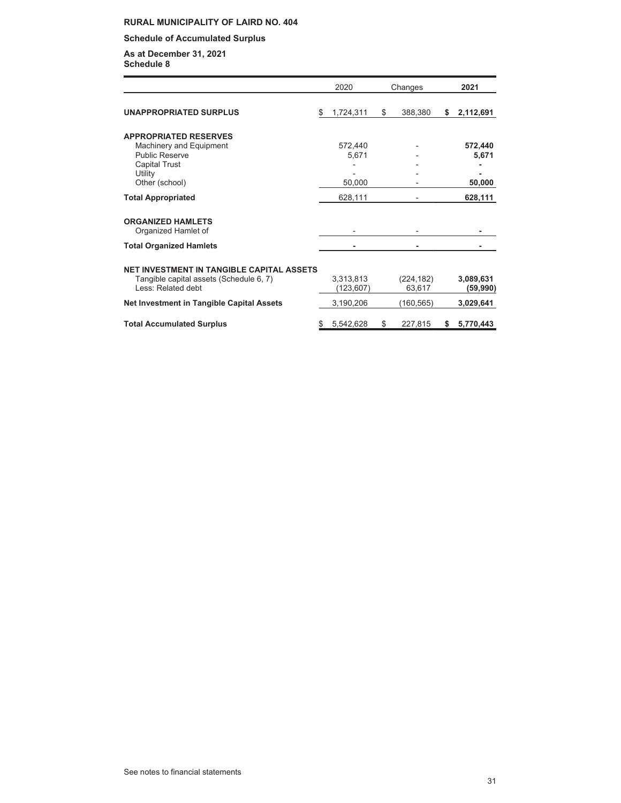**Schedule of Accumulated Surplus**

**As at December 31, 2021 Schedule 8**

|                                                                                                            |   | 2020                   | Changes              |    | 2021                   |
|------------------------------------------------------------------------------------------------------------|---|------------------------|----------------------|----|------------------------|
| <b>UNAPPROPRIATED SURPLUS</b>                                                                              | S | 1,724,311              | \$<br>388,380        | \$ | 2,112,691              |
| <b>APPROPRIATED RESERVES</b>                                                                               |   |                        |                      |    |                        |
| Machinery and Equipment                                                                                    |   | 572,440                |                      |    | 572,440                |
| Public Reserve                                                                                             |   | 5,671                  |                      |    | 5,671                  |
| <b>Capital Trust</b>                                                                                       |   |                        |                      |    |                        |
| Utility                                                                                                    |   |                        |                      |    |                        |
| Other (school)                                                                                             |   | 50,000                 |                      |    | 50,000                 |
| <b>Total Appropriated</b>                                                                                  |   | 628,111                |                      |    | 628,111                |
| <b>ORGANIZED HAMLETS</b><br>Organized Hamlet of                                                            |   |                        |                      |    |                        |
| <b>Total Organized Hamlets</b>                                                                             |   |                        |                      |    |                        |
| NET INVESTMENT IN TANGIBLE CAPITAL ASSETS<br>Tangible capital assets (Schedule 6, 7)<br>Less: Related debt |   | 3,313,813<br>(123,607) | (224, 182)<br>63,617 |    | 3,089,631<br>(59, 990) |
| Net Investment in Tangible Capital Assets                                                                  |   | 3,190,206              | (160,565)            |    | 3,029,641              |
| <b>Total Accumulated Surplus</b>                                                                           | S | 5,542,628              | \$<br>227,815        | s. | 5,770,443              |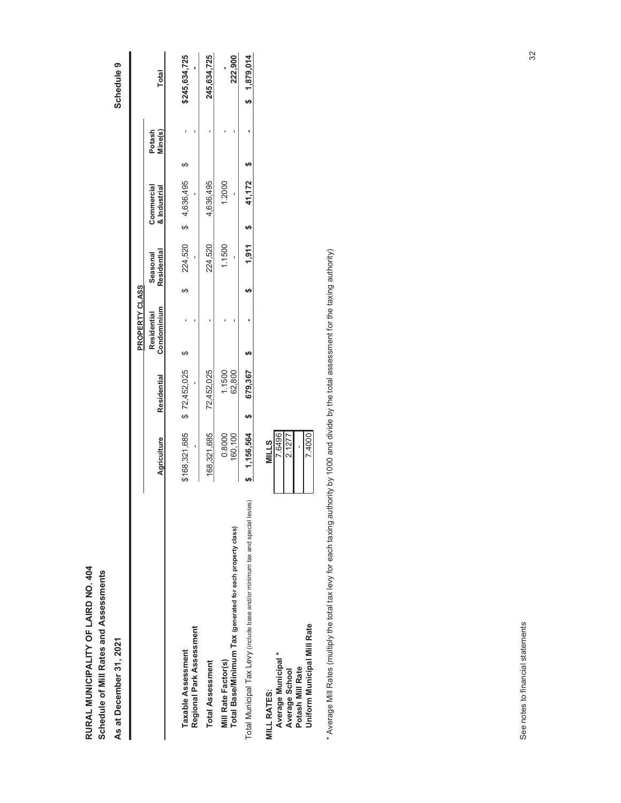| RURAL MUNICIPALITY OF LAIRD NO. 404<br>Schedule of Mill Rates and Assessments            |                   |                  |                            |    |                         |                            |                   |                       |
|------------------------------------------------------------------------------------------|-------------------|------------------|----------------------------|----|-------------------------|----------------------------|-------------------|-----------------------|
| As at December 31, 2021                                                                  |                   |                  |                            |    |                         |                            |                   | Schedule <sub>9</sub> |
|                                                                                          |                   |                  | PROPERTY CLASS             |    |                         |                            |                   |                       |
|                                                                                          | Agriculture       | Residential      | Condominium<br>Residential |    | Residential<br>Seasonal | Commercial<br>& Industrial | Mine(s)<br>Potash | <b>Total</b>          |
| Regional Park Assessment<br>Taxable Assessment                                           | \$168,321,685     | \$72,452,025     | ↔                          | ↔  | 224,520                 | \$4,636,495                | ↔                 | \$245,634,725         |
| <b>Total Assessment</b>                                                                  | 168,321,685       | 72,452,025       |                            |    | 224,520                 | 4,636,495                  |                   | 245,634,725           |
| Total Base/Minimum Tax (generated for each property class)<br><b>Mill Rate Factor(s)</b> | 0.8000<br>160,100 | 1.1500<br>62,800 |                            |    | 1.1500                  | 1.2000<br>1                |                   | 222,900               |
| Total Municipal Tax Levy (include base and/or minimum tax and special levies)            | 1,156,564<br>မာ   | 679,367<br>↮     | ക                          | မာ | 1,911                   | 41,172<br>ക                | ↮                 | 1,879,014<br>ക        |
| <b>MILL RATES:</b>                                                                       | <b>MILLS</b>      |                  |                            |    |                         |                            |                   |                       |
| Average Municipal*                                                                       | 7.6496            |                  |                            |    |                         |                            |                   |                       |
| Average School                                                                           | 2.1277            |                  |                            |    |                         |                            |                   |                       |
| Potash Mill Rate                                                                         |                   |                  |                            |    |                         |                            |                   |                       |
| <b>Uniform Municipal Mill Rate</b>                                                       | 7.4000            |                  |                            |    |                         |                            |                   |                       |

\* Average Mill Rates (multiply the total tax levy for each taxing authority by 1000 and divide by the total assessment for the taxing authority) \* Average Mill Rates (multiply the total tax levy for each taxing authority by 1000 and divide by the total assessment for the taxing authority)

See notes to financial statements See notes to financial statements